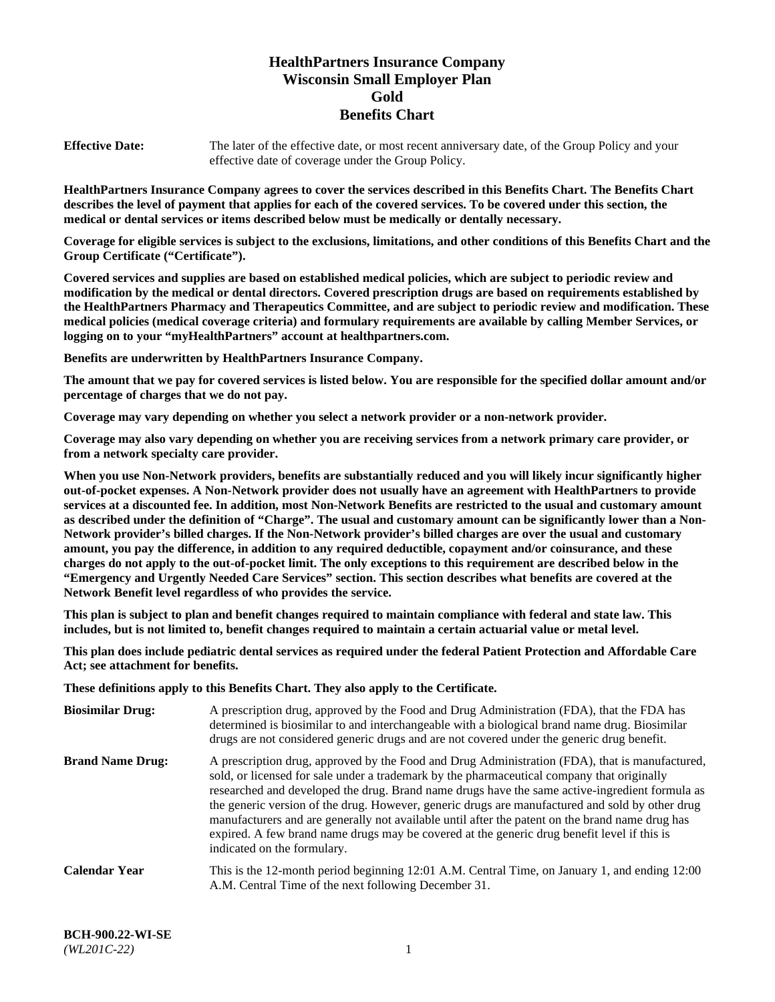# **HealthPartners Insurance Company Wisconsin Small Employer Plan Gold Benefits Chart**

**Effective Date:** The later of the effective date, or most recent anniversary date, of the Group Policy and your effective date of coverage under the Group Policy.

**HealthPartners Insurance Company agrees to cover the services described in this Benefits Chart. The Benefits Chart describes the level of payment that applies for each of the covered services. To be covered under this section, the medical or dental services or items described below must be medically or dentally necessary.**

**Coverage for eligible services is subject to the exclusions, limitations, and other conditions of this Benefits Chart and the Group Certificate ("Certificate").**

**Covered services and supplies are based on established medical policies, which are subject to periodic review and modification by the medical or dental directors. Covered prescription drugs are based on requirements established by the HealthPartners Pharmacy and Therapeutics Committee, and are subject to periodic review and modification. These medical policies (medical coverage criteria) and formulary requirements are available by calling Member Services, or logging on to your "myHealthPartners" account at [healthpartners.com.](https://www.healthpartners.com/hp/index.html)** 

**Benefits are underwritten by HealthPartners Insurance Company.**

**The amount that we pay for covered services is listed below. You are responsible for the specified dollar amount and/or percentage of charges that we do not pay.**

**Coverage may vary depending on whether you select a network provider or a non-network provider.**

**Coverage may also vary depending on whether you are receiving services from a network primary care provider, or from a network specialty care provider.**

**When you use Non-Network providers, benefits are substantially reduced and you will likely incur significantly higher out-of-pocket expenses. A Non-Network provider does not usually have an agreement with HealthPartners to provide services at a discounted fee. In addition, most Non-Network Benefits are restricted to the usual and customary amount as described under the definition of "Charge". The usual and customary amount can be significantly lower than a Non-Network provider's billed charges. If the Non-Network provider's billed charges are over the usual and customary amount, you pay the difference, in addition to any required deductible, copayment and/or coinsurance, and these charges do not apply to the out-of-pocket limit. The only exceptions to this requirement are described below in the "Emergency and Urgently Needed Care Services" section. This section describes what benefits are covered at the Network Benefit level regardless of who provides the service.**

**This plan is subject to plan and benefit changes required to maintain compliance with federal and state law. This includes, but is not limited to, benefit changes required to maintain a certain actuarial value or metal level.**

**This plan does include pediatric dental services as required under the federal Patient Protection and Affordable Care Act; see attachment for benefits.**

**These definitions apply to this Benefits Chart. They also apply to the Certificate.**

| <b>Biosimilar Drug:</b> | A prescription drug, approved by the Food and Drug Administration (FDA), that the FDA has<br>determined is biosimilar to and interchangeable with a biological brand name drug. Biosimilar<br>drugs are not considered generic drugs and are not covered under the generic drug benefit.                                                                                                                                                                                                                                                                                                                                           |
|-------------------------|------------------------------------------------------------------------------------------------------------------------------------------------------------------------------------------------------------------------------------------------------------------------------------------------------------------------------------------------------------------------------------------------------------------------------------------------------------------------------------------------------------------------------------------------------------------------------------------------------------------------------------|
| <b>Brand Name Drug:</b> | A prescription drug, approved by the Food and Drug Administration (FDA), that is manufactured,<br>sold, or licensed for sale under a trademark by the pharmaceutical company that originally<br>researched and developed the drug. Brand name drugs have the same active-ingredient formula as<br>the generic version of the drug. However, generic drugs are manufactured and sold by other drug<br>manufacturers and are generally not available until after the patent on the brand name drug has<br>expired. A few brand name drugs may be covered at the generic drug benefit level if this is<br>indicated on the formulary. |
| <b>Calendar Year</b>    | This is the 12-month period beginning 12:01 A.M. Central Time, on January 1, and ending 12:00<br>A.M. Central Time of the next following December 31.                                                                                                                                                                                                                                                                                                                                                                                                                                                                              |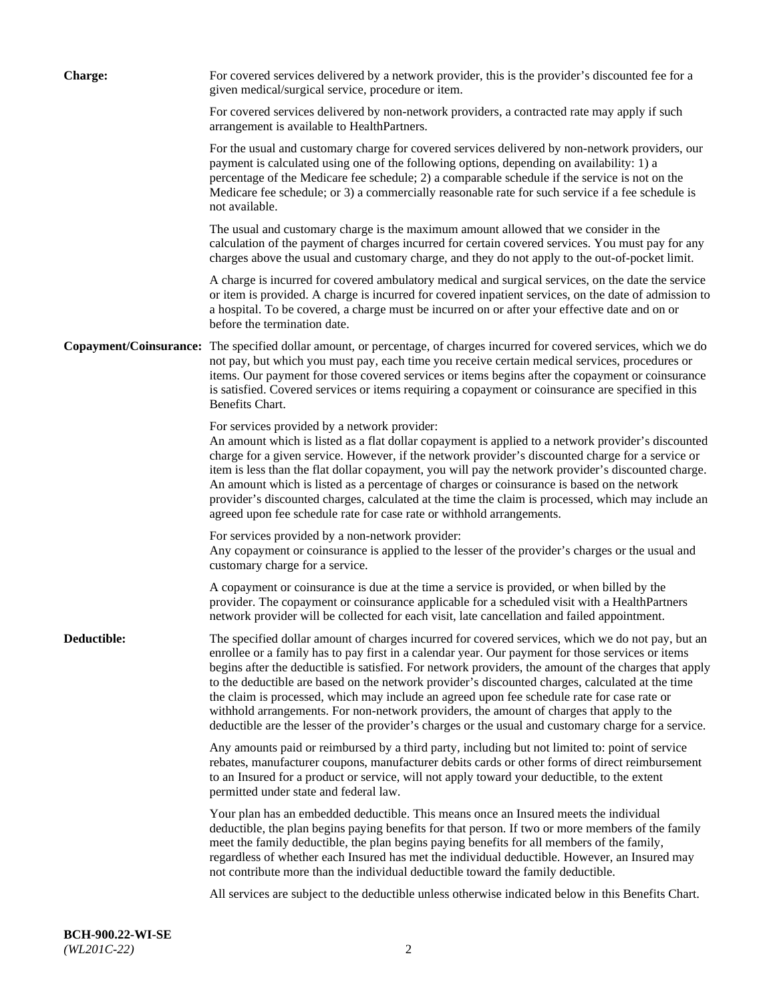| <b>Charge:</b> | For covered services delivered by a network provider, this is the provider's discounted fee for a<br>given medical/surgical service, procedure or item.                                                                                                                                                                                                                                                                                                                                                                                                                                                                                                                                                                 |
|----------------|-------------------------------------------------------------------------------------------------------------------------------------------------------------------------------------------------------------------------------------------------------------------------------------------------------------------------------------------------------------------------------------------------------------------------------------------------------------------------------------------------------------------------------------------------------------------------------------------------------------------------------------------------------------------------------------------------------------------------|
|                | For covered services delivered by non-network providers, a contracted rate may apply if such<br>arrangement is available to HealthPartners.                                                                                                                                                                                                                                                                                                                                                                                                                                                                                                                                                                             |
|                | For the usual and customary charge for covered services delivered by non-network providers, our<br>payment is calculated using one of the following options, depending on availability: 1) a<br>percentage of the Medicare fee schedule; 2) a comparable schedule if the service is not on the<br>Medicare fee schedule; or 3) a commercially reasonable rate for such service if a fee schedule is<br>not available.                                                                                                                                                                                                                                                                                                   |
|                | The usual and customary charge is the maximum amount allowed that we consider in the<br>calculation of the payment of charges incurred for certain covered services. You must pay for any<br>charges above the usual and customary charge, and they do not apply to the out-of-pocket limit.                                                                                                                                                                                                                                                                                                                                                                                                                            |
|                | A charge is incurred for covered ambulatory medical and surgical services, on the date the service<br>or item is provided. A charge is incurred for covered inpatient services, on the date of admission to<br>a hospital. To be covered, a charge must be incurred on or after your effective date and on or<br>before the termination date.                                                                                                                                                                                                                                                                                                                                                                           |
|                | Copayment/Coinsurance: The specified dollar amount, or percentage, of charges incurred for covered services, which we do<br>not pay, but which you must pay, each time you receive certain medical services, procedures or<br>items. Our payment for those covered services or items begins after the copayment or coinsurance<br>is satisfied. Covered services or items requiring a copayment or coinsurance are specified in this<br>Benefits Chart.                                                                                                                                                                                                                                                                 |
|                | For services provided by a network provider:<br>An amount which is listed as a flat dollar copayment is applied to a network provider's discounted<br>charge for a given service. However, if the network provider's discounted charge for a service or<br>item is less than the flat dollar copayment, you will pay the network provider's discounted charge.<br>An amount which is listed as a percentage of charges or coinsurance is based on the network<br>provider's discounted charges, calculated at the time the claim is processed, which may include an<br>agreed upon fee schedule rate for case rate or withhold arrangements.                                                                            |
|                | For services provided by a non-network provider:<br>Any copayment or coinsurance is applied to the lesser of the provider's charges or the usual and<br>customary charge for a service.                                                                                                                                                                                                                                                                                                                                                                                                                                                                                                                                 |
|                | A copayment or coinsurance is due at the time a service is provided, or when billed by the<br>provider. The copayment or coinsurance applicable for a scheduled visit with a HealthPartners<br>network provider will be collected for each visit, late cancellation and failed appointment.                                                                                                                                                                                                                                                                                                                                                                                                                             |
| Deductible:    | The specified dollar amount of charges incurred for covered services, which we do not pay, but an<br>enrollee or a family has to pay first in a calendar year. Our payment for those services or items<br>begins after the deductible is satisfied. For network providers, the amount of the charges that apply<br>to the deductible are based on the network provider's discounted charges, calculated at the time<br>the claim is processed, which may include an agreed upon fee schedule rate for case rate or<br>withhold arrangements. For non-network providers, the amount of charges that apply to the<br>deductible are the lesser of the provider's charges or the usual and customary charge for a service. |
|                | Any amounts paid or reimbursed by a third party, including but not limited to: point of service<br>rebates, manufacturer coupons, manufacturer debits cards or other forms of direct reimbursement<br>to an Insured for a product or service, will not apply toward your deductible, to the extent<br>permitted under state and federal law.                                                                                                                                                                                                                                                                                                                                                                            |
|                | Your plan has an embedded deductible. This means once an Insured meets the individual<br>deductible, the plan begins paying benefits for that person. If two or more members of the family<br>meet the family deductible, the plan begins paying benefits for all members of the family,<br>regardless of whether each Insured has met the individual deductible. However, an Insured may<br>not contribute more than the individual deductible toward the family deductible.                                                                                                                                                                                                                                           |
|                | All services are subject to the deductible unless otherwise indicated below in this Benefits Chart.                                                                                                                                                                                                                                                                                                                                                                                                                                                                                                                                                                                                                     |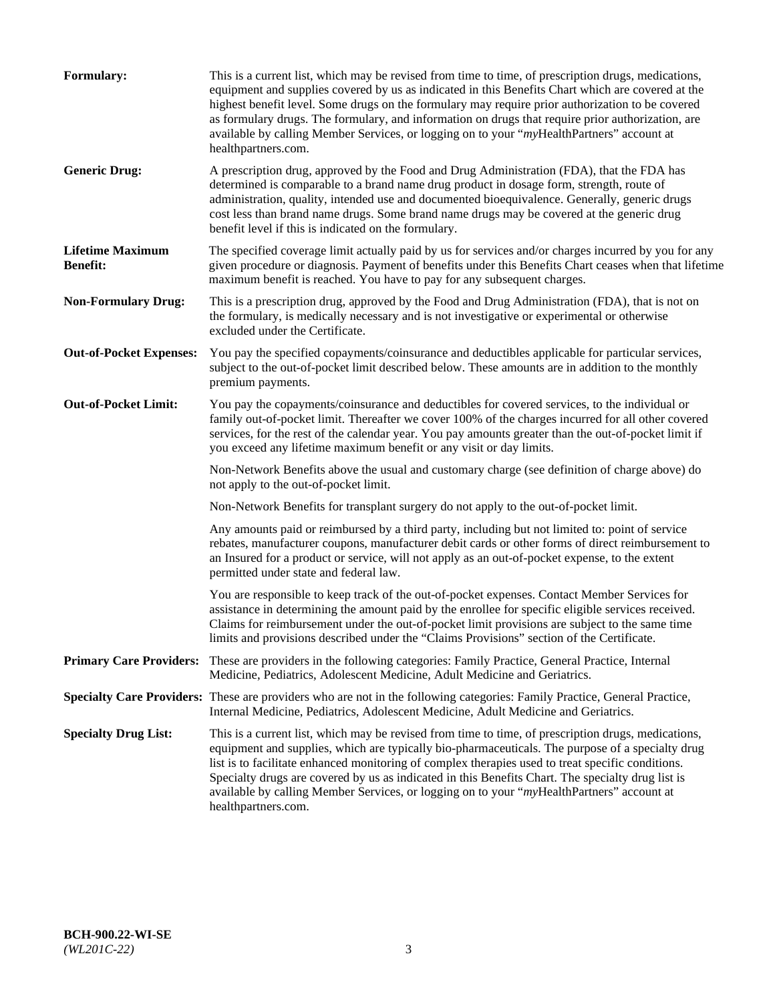| <b>Formulary:</b>                          | This is a current list, which may be revised from time to time, of prescription drugs, medications,<br>equipment and supplies covered by us as indicated in this Benefits Chart which are covered at the<br>highest benefit level. Some drugs on the formulary may require prior authorization to be covered<br>as formulary drugs. The formulary, and information on drugs that require prior authorization, are<br>available by calling Member Services, or logging on to your "myHealthPartners" account at<br>healthpartners.com. |
|--------------------------------------------|---------------------------------------------------------------------------------------------------------------------------------------------------------------------------------------------------------------------------------------------------------------------------------------------------------------------------------------------------------------------------------------------------------------------------------------------------------------------------------------------------------------------------------------|
| <b>Generic Drug:</b>                       | A prescription drug, approved by the Food and Drug Administration (FDA), that the FDA has<br>determined is comparable to a brand name drug product in dosage form, strength, route of<br>administration, quality, intended use and documented bioequivalence. Generally, generic drugs<br>cost less than brand name drugs. Some brand name drugs may be covered at the generic drug<br>benefit level if this is indicated on the formulary.                                                                                           |
| <b>Lifetime Maximum</b><br><b>Benefit:</b> | The specified coverage limit actually paid by us for services and/or charges incurred by you for any<br>given procedure or diagnosis. Payment of benefits under this Benefits Chart ceases when that lifetime<br>maximum benefit is reached. You have to pay for any subsequent charges.                                                                                                                                                                                                                                              |
| <b>Non-Formulary Drug:</b>                 | This is a prescription drug, approved by the Food and Drug Administration (FDA), that is not on<br>the formulary, is medically necessary and is not investigative or experimental or otherwise<br>excluded under the Certificate.                                                                                                                                                                                                                                                                                                     |
| <b>Out-of-Pocket Expenses:</b>             | You pay the specified copayments/coinsurance and deductibles applicable for particular services,<br>subject to the out-of-pocket limit described below. These amounts are in addition to the monthly<br>premium payments.                                                                                                                                                                                                                                                                                                             |
| <b>Out-of-Pocket Limit:</b>                | You pay the copayments/coinsurance and deductibles for covered services, to the individual or<br>family out-of-pocket limit. Thereafter we cover 100% of the charges incurred for all other covered<br>services, for the rest of the calendar year. You pay amounts greater than the out-of-pocket limit if<br>you exceed any lifetime maximum benefit or any visit or day limits.                                                                                                                                                    |
|                                            | Non-Network Benefits above the usual and customary charge (see definition of charge above) do<br>not apply to the out-of-pocket limit.                                                                                                                                                                                                                                                                                                                                                                                                |
|                                            | Non-Network Benefits for transplant surgery do not apply to the out-of-pocket limit.                                                                                                                                                                                                                                                                                                                                                                                                                                                  |
|                                            | Any amounts paid or reimbursed by a third party, including but not limited to: point of service<br>rebates, manufacturer coupons, manufacturer debit cards or other forms of direct reimbursement to<br>an Insured for a product or service, will not apply as an out-of-pocket expense, to the extent<br>permitted under state and federal law.                                                                                                                                                                                      |
|                                            | You are responsible to keep track of the out-of-pocket expenses. Contact Member Services for<br>assistance in determining the amount paid by the enrollee for specific eligible services received.<br>Claims for reimbursement under the out-of-pocket limit provisions are subject to the same time<br>limits and provisions described under the "Claims Provisions" section of the Certificate.                                                                                                                                     |
| <b>Primary Care Providers:</b>             | These are providers in the following categories: Family Practice, General Practice, Internal<br>Medicine, Pediatrics, Adolescent Medicine, Adult Medicine and Geriatrics.                                                                                                                                                                                                                                                                                                                                                             |
|                                            | Specialty Care Providers: These are providers who are not in the following categories: Family Practice, General Practice,<br>Internal Medicine, Pediatrics, Adolescent Medicine, Adult Medicine and Geriatrics.                                                                                                                                                                                                                                                                                                                       |
| <b>Specialty Drug List:</b>                | This is a current list, which may be revised from time to time, of prescription drugs, medications,<br>equipment and supplies, which are typically bio-pharmaceuticals. The purpose of a specialty drug<br>list is to facilitate enhanced monitoring of complex therapies used to treat specific conditions.<br>Specialty drugs are covered by us as indicated in this Benefits Chart. The specialty drug list is<br>available by calling Member Services, or logging on to your "myHealthPartners" account at<br>healthpartners.com. |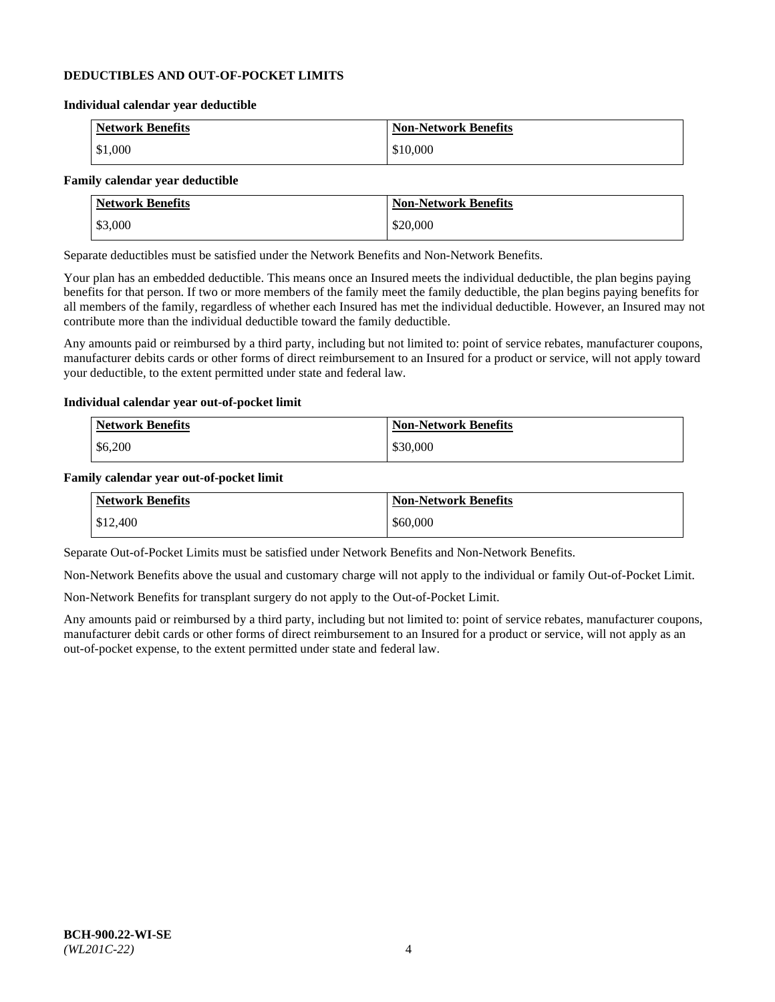## **DEDUCTIBLES AND OUT-OF-POCKET LIMITS**

#### **Individual calendar year deductible**

| <b>Network Benefits</b> | <b>Non-Network Benefits</b> |
|-------------------------|-----------------------------|
| \$1,000                 | \$10,000                    |

## **Family calendar year deductible**

| <b>Network Benefits</b> | <b>Non-Network Benefits</b> |
|-------------------------|-----------------------------|
| \$3,000                 | \$20,000                    |

Separate deductibles must be satisfied under the Network Benefits and Non-Network Benefits.

Your plan has an embedded deductible. This means once an Insured meets the individual deductible, the plan begins paying benefits for that person. If two or more members of the family meet the family deductible, the plan begins paying benefits for all members of the family, regardless of whether each Insured has met the individual deductible. However, an Insured may not contribute more than the individual deductible toward the family deductible.

Any amounts paid or reimbursed by a third party, including but not limited to: point of service rebates, manufacturer coupons, manufacturer debits cards or other forms of direct reimbursement to an Insured for a product or service, will not apply toward your deductible, to the extent permitted under state and federal law.

#### **Individual calendar year out-of-pocket limit**

| Network Benefits | <b>Non-Network Benefits</b> |
|------------------|-----------------------------|
| \$6,200          | \$30,000                    |

#### **Family calendar year out-of-pocket limit**

| <b>Network Benefits</b> | <b>Non-Network Benefits</b> |
|-------------------------|-----------------------------|
| \$12,400                | \$60,000                    |

Separate Out-of-Pocket Limits must be satisfied under Network Benefits and Non-Network Benefits.

Non-Network Benefits above the usual and customary charge will not apply to the individual or family Out-of-Pocket Limit.

Non-Network Benefits for transplant surgery do not apply to the Out-of-Pocket Limit.

Any amounts paid or reimbursed by a third party, including but not limited to: point of service rebates, manufacturer coupons, manufacturer debit cards or other forms of direct reimbursement to an Insured for a product or service, will not apply as an out-of-pocket expense, to the extent permitted under state and federal law.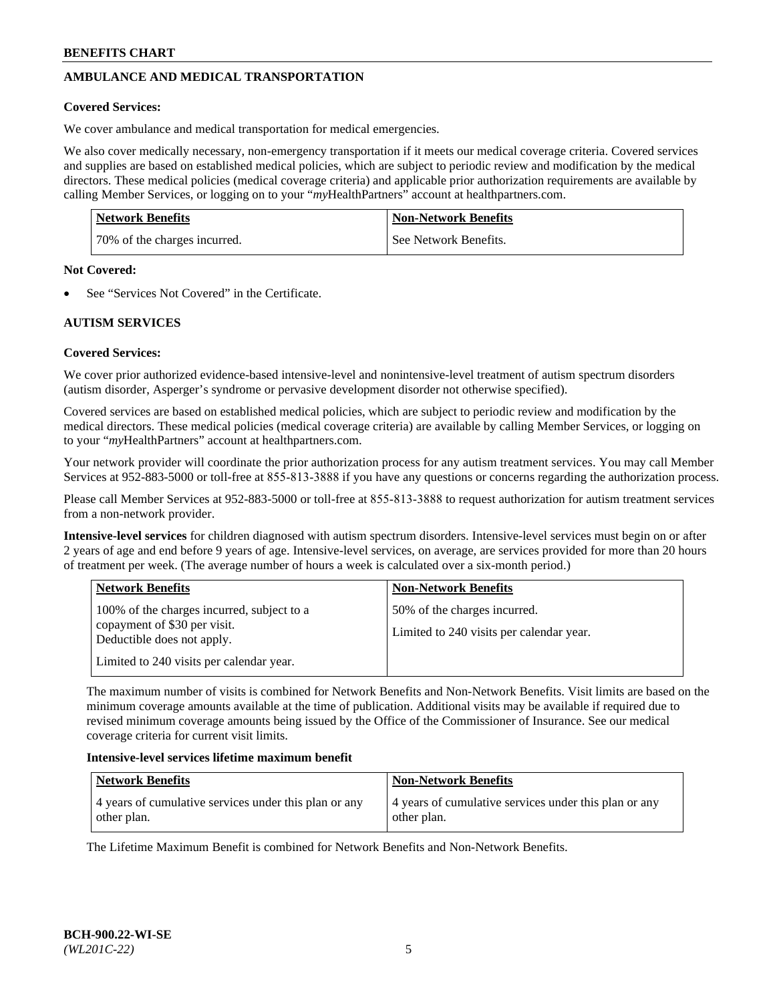# **AMBULANCE AND MEDICAL TRANSPORTATION**

## **Covered Services:**

We cover ambulance and medical transportation for medical emergencies.

We also cover medically necessary, non-emergency transportation if it meets our medical coverage criteria. Covered services and supplies are based on established medical policies, which are subject to periodic review and modification by the medical directors. These medical policies (medical coverage criteria) and applicable prior authorization requirements are available by calling Member Services, or logging on to your "*my*HealthPartners" account a[t healthpartners.com.](https://www.healthpartners.com/hp/index.html)

| <b>Network Benefits</b>      | <b>Non-Network Benefits</b> |
|------------------------------|-----------------------------|
| 70% of the charges incurred. | See Network Benefits.       |

#### **Not Covered:**

See "Services Not Covered" in the Certificate.

# **AUTISM SERVICES**

## **Covered Services:**

We cover prior authorized evidence-based intensive-level and nonintensive-level treatment of autism spectrum disorders (autism disorder, Asperger's syndrome or pervasive development disorder not otherwise specified).

Covered services are based on established medical policies, which are subject to periodic review and modification by the medical directors. These medical policies (medical coverage criteria) are available by calling Member Services, or logging on to your "*my*HealthPartners" account at [healthpartners.com.](https://www.healthpartners.com/hp/index.html)

Your network provider will coordinate the prior authorization process for any autism treatment services. You may call Member Services at 952-883-5000 or toll-free at 855-813-3888 if you have any questions or concerns regarding the authorization process.

Please call Member Services at 952-883-5000 or toll-free at 855-813-3888 to request authorization for autism treatment services from a non-network provider.

**Intensive-level services** for children diagnosed with autism spectrum disorders. Intensive-level services must begin on or after 2 years of age and end before 9 years of age. Intensive-level services, on average, are services provided for more than 20 hours of treatment per week. (The average number of hours a week is calculated over a six-month period.)

| <b>Network Benefits</b>                                                                                                                              | <b>Non-Network Benefits</b>                                              |
|------------------------------------------------------------------------------------------------------------------------------------------------------|--------------------------------------------------------------------------|
| 100% of the charges incurred, subject to a<br>copayment of \$30 per visit.<br>Deductible does not apply.<br>Limited to 240 visits per calendar year. | 50% of the charges incurred.<br>Limited to 240 visits per calendar year. |

The maximum number of visits is combined for Network Benefits and Non-Network Benefits. Visit limits are based on the minimum coverage amounts available at the time of publication. Additional visits may be available if required due to revised minimum coverage amounts being issued by the Office of the Commissioner of Insurance. See our medical coverage criteria for current visit limits.

#### **Intensive-level services lifetime maximum benefit**

| Network Benefits                                                     | <b>Non-Network Benefits</b>                                          |
|----------------------------------------------------------------------|----------------------------------------------------------------------|
| 4 years of cumulative services under this plan or any<br>other plan. | 4 years of cumulative services under this plan or any<br>other plan. |

The Lifetime Maximum Benefit is combined for Network Benefits and Non-Network Benefits.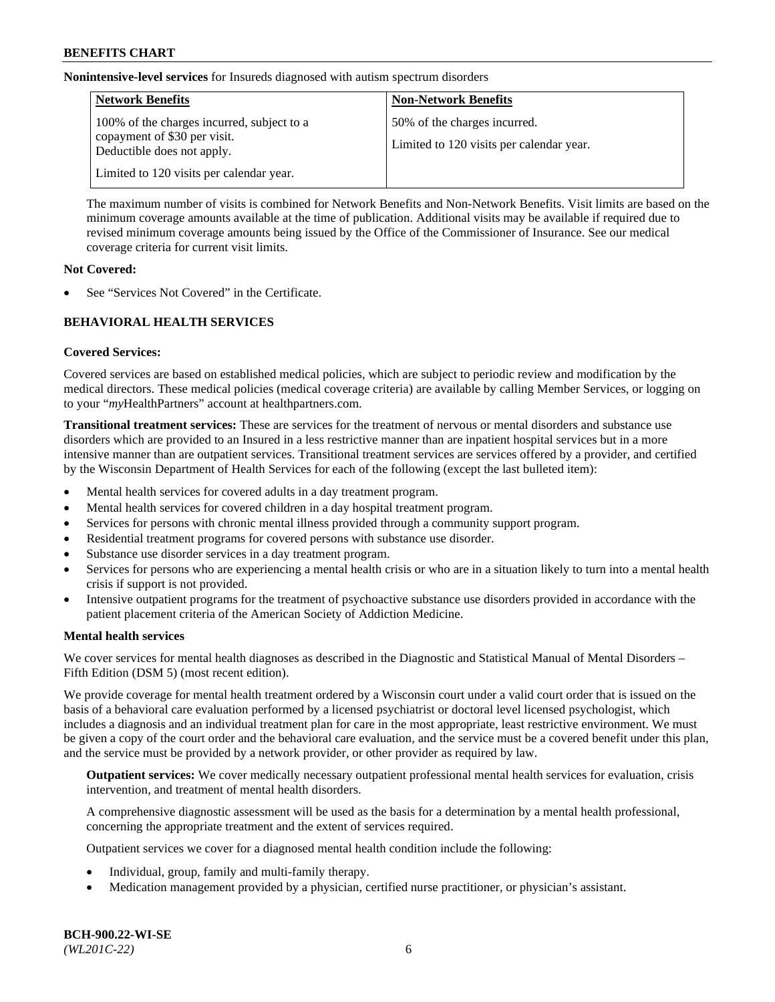**Nonintensive-level services** for Insureds diagnosed with autism spectrum disorders

| <b>Network Benefits</b>                                                                                  | <b>Non-Network Benefits</b>                                              |
|----------------------------------------------------------------------------------------------------------|--------------------------------------------------------------------------|
| 100% of the charges incurred, subject to a<br>copayment of \$30 per visit.<br>Deductible does not apply. | 50% of the charges incurred.<br>Limited to 120 visits per calendar year. |
| Limited to 120 visits per calendar year.                                                                 |                                                                          |

The maximum number of visits is combined for Network Benefits and Non-Network Benefits. Visit limits are based on the minimum coverage amounts available at the time of publication. Additional visits may be available if required due to revised minimum coverage amounts being issued by the Office of the Commissioner of Insurance. See our medical coverage criteria for current visit limits.

## **Not Covered:**

See "Services Not Covered" in the Certificate.

## **BEHAVIORAL HEALTH SERVICES**

## **Covered Services:**

Covered services are based on established medical policies, which are subject to periodic review and modification by the medical directors. These medical policies (medical coverage criteria) are available by calling Member Services, or logging on to your "*my*HealthPartners" account at [healthpartners.com.](https://www.healthpartners.com/hp/index.html)

**Transitional treatment services:** These are services for the treatment of nervous or mental disorders and substance use disorders which are provided to an Insured in a less restrictive manner than are inpatient hospital services but in a more intensive manner than are outpatient services. Transitional treatment services are services offered by a provider, and certified by the Wisconsin Department of Health Services for each of the following (except the last bulleted item):

- Mental health services for covered adults in a day treatment program.
- Mental health services for covered children in a day hospital treatment program.
- Services for persons with chronic mental illness provided through a community support program.
- Residential treatment programs for covered persons with substance use disorder.
- Substance use disorder services in a day treatment program.
- Services for persons who are experiencing a mental health crisis or who are in a situation likely to turn into a mental health crisis if support is not provided.
- Intensive outpatient programs for the treatment of psychoactive substance use disorders provided in accordance with the patient placement criteria of the American Society of Addiction Medicine.

## **Mental health services**

We cover services for mental health diagnoses as described in the Diagnostic and Statistical Manual of Mental Disorders – Fifth Edition (DSM 5) (most recent edition).

We provide coverage for mental health treatment ordered by a Wisconsin court under a valid court order that is issued on the basis of a behavioral care evaluation performed by a licensed psychiatrist or doctoral level licensed psychologist, which includes a diagnosis and an individual treatment plan for care in the most appropriate, least restrictive environment. We must be given a copy of the court order and the behavioral care evaluation, and the service must be a covered benefit under this plan, and the service must be provided by a network provider, or other provider as required by law.

**Outpatient services:** We cover medically necessary outpatient professional mental health services for evaluation, crisis intervention, and treatment of mental health disorders.

A comprehensive diagnostic assessment will be used as the basis for a determination by a mental health professional, concerning the appropriate treatment and the extent of services required.

Outpatient services we cover for a diagnosed mental health condition include the following:

- Individual, group, family and multi-family therapy.
- Medication management provided by a physician, certified nurse practitioner, or physician's assistant.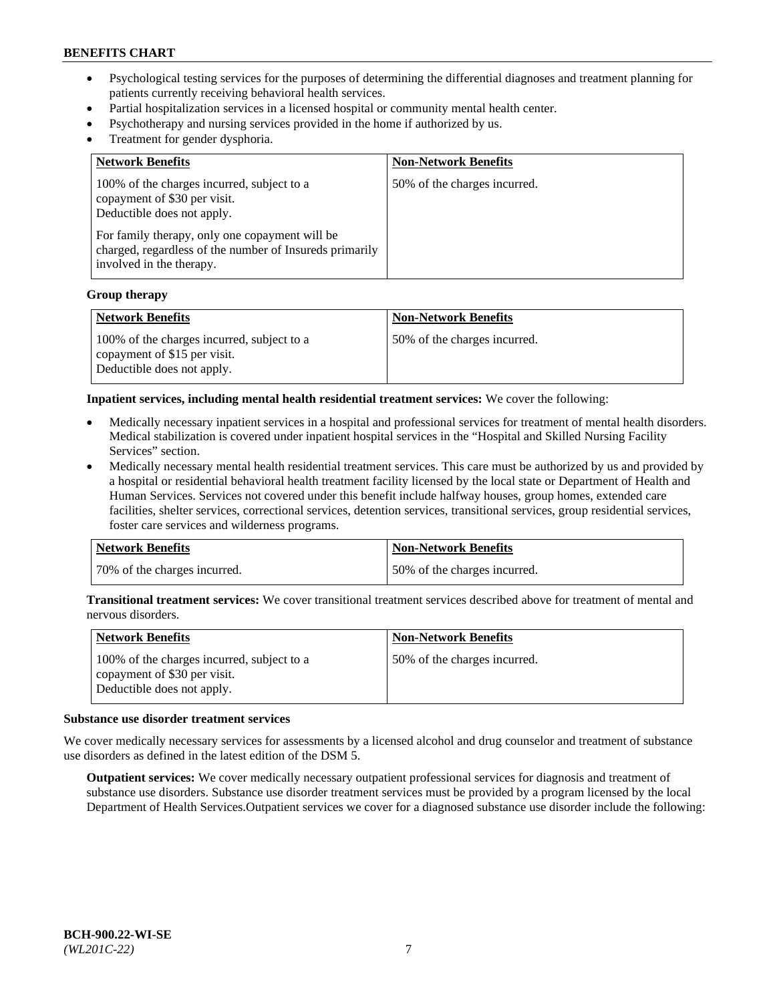- Psychological testing services for the purposes of determining the differential diagnoses and treatment planning for patients currently receiving behavioral health services.
- Partial hospitalization services in a licensed hospital or community mental health center.
- Psychotherapy and nursing services provided in the home if authorized by us.
- Treatment for gender dysphoria.

| <b>Network Benefits</b>                                                                                                                                                                                                                           | <b>Non-Network Benefits</b>  |
|---------------------------------------------------------------------------------------------------------------------------------------------------------------------------------------------------------------------------------------------------|------------------------------|
| 100% of the charges incurred, subject to a<br>copayment of \$30 per visit.<br>Deductible does not apply.<br>For family therapy, only one copayment will be<br>charged, regardless of the number of Insureds primarily<br>involved in the therapy. | 50% of the charges incurred. |

#### **Group therapy**

| Network Benefits                                                                                         | <b>Non-Network Benefits</b>  |
|----------------------------------------------------------------------------------------------------------|------------------------------|
| 100% of the charges incurred, subject to a<br>copayment of \$15 per visit.<br>Deductible does not apply. | 50% of the charges incurred. |

**Inpatient services, including mental health residential treatment services:** We cover the following:

- Medically necessary inpatient services in a hospital and professional services for treatment of mental health disorders. Medical stabilization is covered under inpatient hospital services in the "Hospital and Skilled Nursing Facility Services" section.
- Medically necessary mental health residential treatment services. This care must be authorized by us and provided by a hospital or residential behavioral health treatment facility licensed by the local state or Department of Health and Human Services. Services not covered under this benefit include halfway houses, group homes, extended care facilities, shelter services, correctional services, detention services, transitional services, group residential services, foster care services and wilderness programs.

| <b>Network Benefits</b>      | Non-Network Benefits         |
|------------------------------|------------------------------|
| 70% of the charges incurred. | 50% of the charges incurred. |

**Transitional treatment services:** We cover transitional treatment services described above for treatment of mental and nervous disorders.

| Network Benefits                                                                                         | <b>Non-Network Benefits</b>  |
|----------------------------------------------------------------------------------------------------------|------------------------------|
| 100% of the charges incurred, subject to a<br>copayment of \$30 per visit.<br>Deductible does not apply. | 50% of the charges incurred. |

#### **Substance use disorder treatment services**

We cover medically necessary services for assessments by a licensed alcohol and drug counselor and treatment of substance use disorders as defined in the latest edition of the DSM 5.

**Outpatient services:** We cover medically necessary outpatient professional services for diagnosis and treatment of substance use disorders. Substance use disorder treatment services must be provided by a program licensed by the local Department of Health Services.Outpatient services we cover for a diagnosed substance use disorder include the following: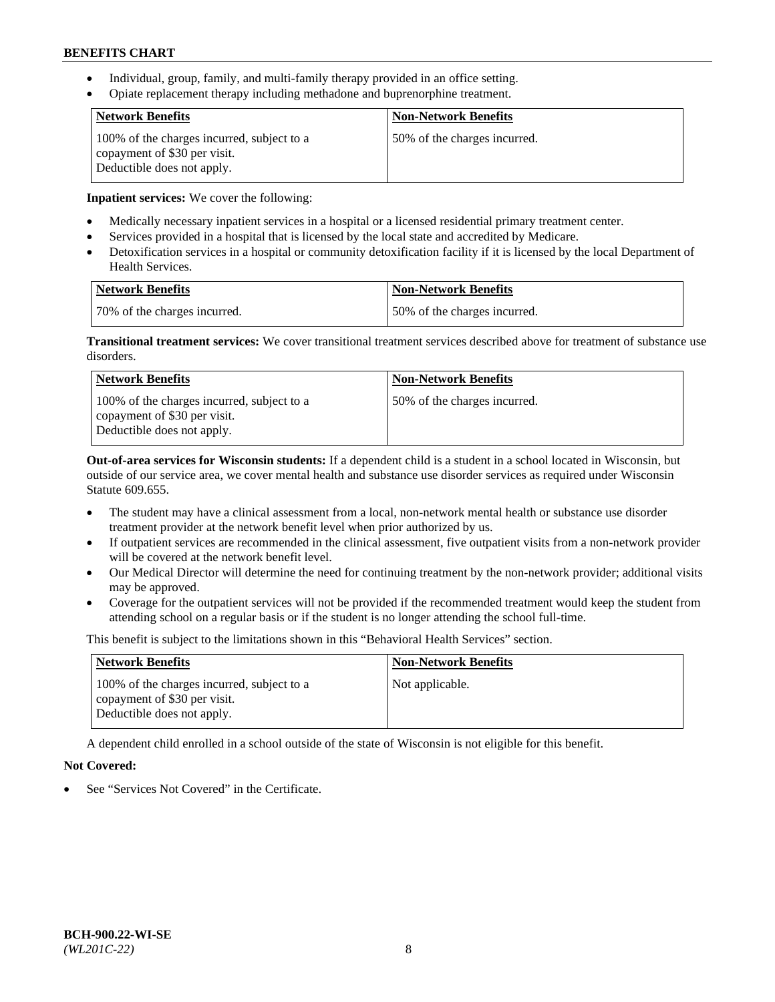- Individual, group, family, and multi-family therapy provided in an office setting.
- Opiate replacement therapy including methadone and buprenorphine treatment.

| <b>Network Benefits</b>                                                                                  | <b>Non-Network Benefits</b>  |
|----------------------------------------------------------------------------------------------------------|------------------------------|
| 100% of the charges incurred, subject to a<br>copayment of \$30 per visit.<br>Deductible does not apply. | 50% of the charges incurred. |

**Inpatient services:** We cover the following:

- Medically necessary inpatient services in a hospital or a licensed residential primary treatment center.
- Services provided in a hospital that is licensed by the local state and accredited by Medicare.
- Detoxification services in a hospital or community detoxification facility if it is licensed by the local Department of Health Services.

| Network Benefits             | Non-Network Benefits         |
|------------------------------|------------------------------|
| 70% of the charges incurred. | 50% of the charges incurred. |

**Transitional treatment services:** We cover transitional treatment services described above for treatment of substance use disorders.

| <b>Network Benefits</b>                                                                                  | <b>Non-Network Benefits</b>  |
|----------------------------------------------------------------------------------------------------------|------------------------------|
| 100% of the charges incurred, subject to a<br>copayment of \$30 per visit.<br>Deductible does not apply. | 50% of the charges incurred. |

**Out-of-area services for Wisconsin students:** If a dependent child is a student in a school located in Wisconsin, but outside of our service area, we cover mental health and substance use disorder services as required under Wisconsin Statute 609.655.

- The student may have a clinical assessment from a local, non-network mental health or substance use disorder treatment provider at the network benefit level when prior authorized by us.
- If outpatient services are recommended in the clinical assessment, five outpatient visits from a non-network provider will be covered at the network benefit level.
- Our Medical Director will determine the need for continuing treatment by the non-network provider; additional visits may be approved.
- Coverage for the outpatient services will not be provided if the recommended treatment would keep the student from attending school on a regular basis or if the student is no longer attending the school full-time.

This benefit is subject to the limitations shown in this "Behavioral Health Services" section.

| <b>Network Benefits</b>                                                                                  | <b>Non-Network Benefits</b> |
|----------------------------------------------------------------------------------------------------------|-----------------------------|
| 100% of the charges incurred, subject to a<br>copayment of \$30 per visit.<br>Deductible does not apply. | Not applicable.             |

A dependent child enrolled in a school outside of the state of Wisconsin is not eligible for this benefit.

## **Not Covered:**

See "Services Not Covered" in the Certificate.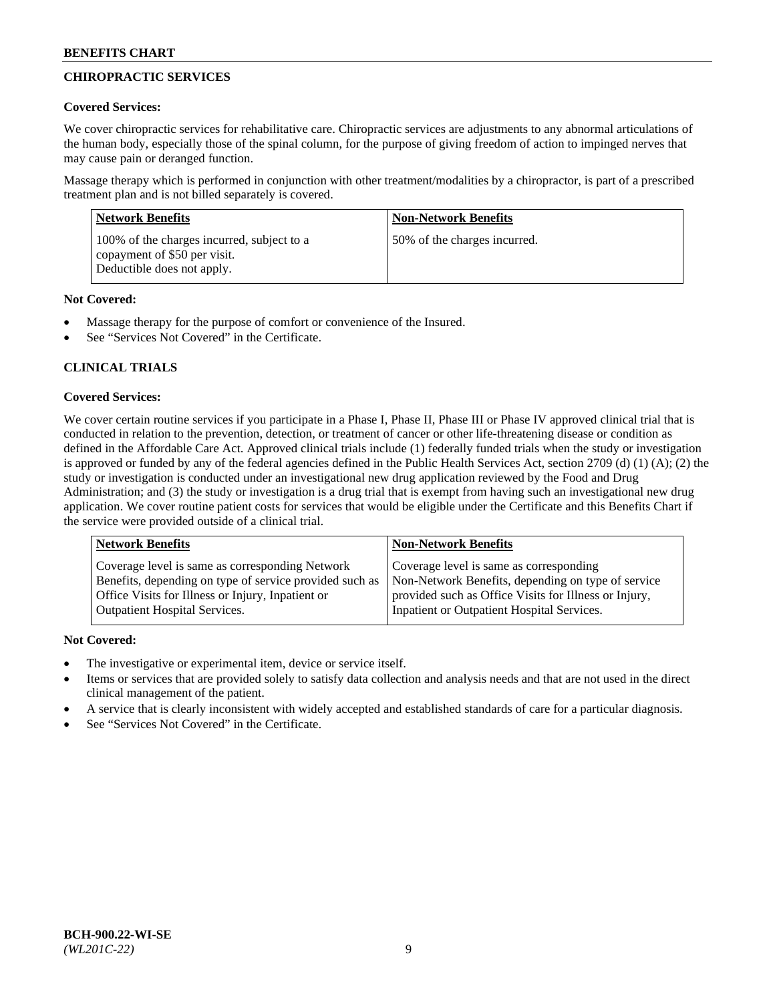# **CHIROPRACTIC SERVICES**

# **Covered Services:**

We cover chiropractic services for rehabilitative care. Chiropractic services are adjustments to any abnormal articulations of the human body, especially those of the spinal column, for the purpose of giving freedom of action to impinged nerves that may cause pain or deranged function.

Massage therapy which is performed in conjunction with other treatment/modalities by a chiropractor, is part of a prescribed treatment plan and is not billed separately is covered.

| <b>Network Benefits</b>                                                                                  | <b>Non-Network Benefits</b>  |
|----------------------------------------------------------------------------------------------------------|------------------------------|
| 100% of the charges incurred, subject to a<br>copayment of \$50 per visit.<br>Deductible does not apply. | 50% of the charges incurred. |

# **Not Covered:**

- Massage therapy for the purpose of comfort or convenience of the Insured.
- See "Services Not Covered" in the Certificate.

# **CLINICAL TRIALS**

# **Covered Services:**

We cover certain routine services if you participate in a Phase I, Phase II, Phase III or Phase IV approved clinical trial that is conducted in relation to the prevention, detection, or treatment of cancer or other life-threatening disease or condition as defined in the Affordable Care Act. Approved clinical trials include (1) federally funded trials when the study or investigation is approved or funded by any of the federal agencies defined in the Public Health Services Act, section 2709 (d) (1) (A); (2) the study or investigation is conducted under an investigational new drug application reviewed by the Food and Drug Administration; and (3) the study or investigation is a drug trial that is exempt from having such an investigational new drug application. We cover routine patient costs for services that would be eligible under the Certificate and this Benefits Chart if the service were provided outside of a clinical trial.

| Coverage level is same as corresponding<br>Coverage level is same as corresponding Network<br>Non-Network Benefits, depending on type of service<br>Benefits, depending on type of service provided such as<br>Office Visits for Illness or Injury, Inpatient or<br>provided such as Office Visits for Illness or Injury, | <b>Network Benefits</b>              | <b>Non-Network Benefits</b>                |
|---------------------------------------------------------------------------------------------------------------------------------------------------------------------------------------------------------------------------------------------------------------------------------------------------------------------------|--------------------------------------|--------------------------------------------|
|                                                                                                                                                                                                                                                                                                                           | <b>Outpatient Hospital Services.</b> | Inpatient or Outpatient Hospital Services. |

- The investigative or experimental item, device or service itself.
- Items or services that are provided solely to satisfy data collection and analysis needs and that are not used in the direct clinical management of the patient.
- A service that is clearly inconsistent with widely accepted and established standards of care for a particular diagnosis.
- See "Services Not Covered" in the Certificate.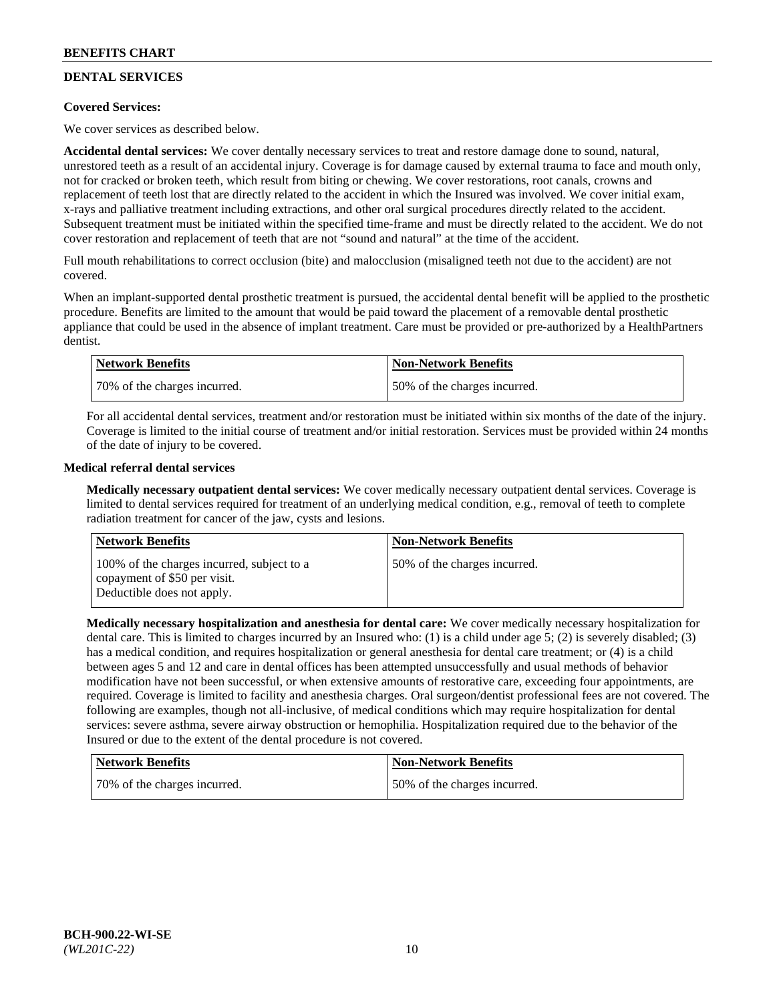# **DENTAL SERVICES**

## **Covered Services:**

We cover services as described below.

**Accidental dental services:** We cover dentally necessary services to treat and restore damage done to sound, natural, unrestored teeth as a result of an accidental injury. Coverage is for damage caused by external trauma to face and mouth only, not for cracked or broken teeth, which result from biting or chewing. We cover restorations, root canals, crowns and replacement of teeth lost that are directly related to the accident in which the Insured was involved. We cover initial exam, x-rays and palliative treatment including extractions, and other oral surgical procedures directly related to the accident. Subsequent treatment must be initiated within the specified time-frame and must be directly related to the accident. We do not cover restoration and replacement of teeth that are not "sound and natural" at the time of the accident.

Full mouth rehabilitations to correct occlusion (bite) and malocclusion (misaligned teeth not due to the accident) are not covered.

When an implant-supported dental prosthetic treatment is pursued, the accidental dental benefit will be applied to the prosthetic procedure. Benefits are limited to the amount that would be paid toward the placement of a removable dental prosthetic appliance that could be used in the absence of implant treatment. Care must be provided or pre-authorized by a HealthPartners dentist.

| Network Benefits             | <b>Non-Network Benefits</b>  |
|------------------------------|------------------------------|
| 70% of the charges incurred. | 50% of the charges incurred. |

For all accidental dental services, treatment and/or restoration must be initiated within six months of the date of the injury. Coverage is limited to the initial course of treatment and/or initial restoration. Services must be provided within 24 months of the date of injury to be covered.

## **Medical referral dental services**

**Medically necessary outpatient dental services:** We cover medically necessary outpatient dental services. Coverage is limited to dental services required for treatment of an underlying medical condition, e.g., removal of teeth to complete radiation treatment for cancer of the jaw, cysts and lesions.

| <b>Network Benefits</b>                                                                                  | <b>Non-Network Benefits</b>  |
|----------------------------------------------------------------------------------------------------------|------------------------------|
| 100% of the charges incurred, subject to a<br>copayment of \$50 per visit.<br>Deductible does not apply. | 50% of the charges incurred. |

**Medically necessary hospitalization and anesthesia for dental care:** We cover medically necessary hospitalization for dental care. This is limited to charges incurred by an Insured who: (1) is a child under age 5; (2) is severely disabled; (3) has a medical condition, and requires hospitalization or general anesthesia for dental care treatment; or (4) is a child between ages 5 and 12 and care in dental offices has been attempted unsuccessfully and usual methods of behavior modification have not been successful, or when extensive amounts of restorative care, exceeding four appointments, are required. Coverage is limited to facility and anesthesia charges. Oral surgeon/dentist professional fees are not covered. The following are examples, though not all-inclusive, of medical conditions which may require hospitalization for dental services: severe asthma, severe airway obstruction or hemophilia. Hospitalization required due to the behavior of the Insured or due to the extent of the dental procedure is not covered.

| <b>Network Benefits</b>      | <b>Non-Network Benefits</b>  |
|------------------------------|------------------------------|
| 70% of the charges incurred. | 50% of the charges incurred. |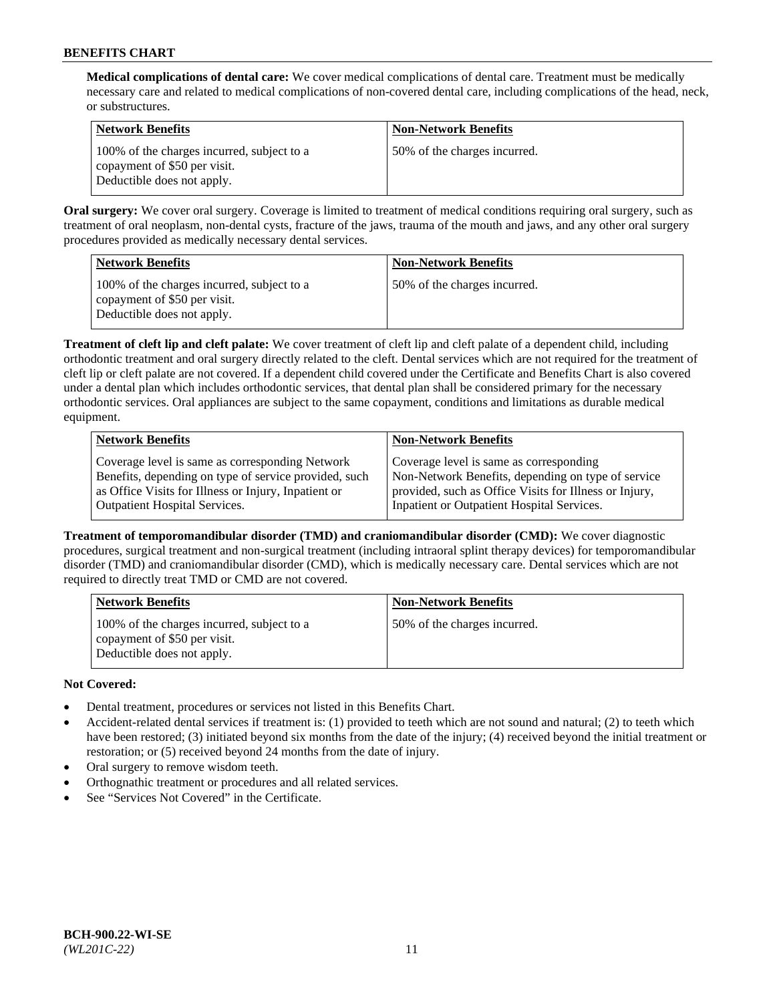**Medical complications of dental care:** We cover medical complications of dental care. Treatment must be medically necessary care and related to medical complications of non-covered dental care, including complications of the head, neck, or substructures.

| Network Benefits                                                                                         | <b>Non-Network Benefits</b>  |
|----------------------------------------------------------------------------------------------------------|------------------------------|
| 100% of the charges incurred, subject to a<br>copayment of \$50 per visit.<br>Deductible does not apply. | 50% of the charges incurred. |

**Oral surgery:** We cover oral surgery. Coverage is limited to treatment of medical conditions requiring oral surgery, such as treatment of oral neoplasm, non-dental cysts, fracture of the jaws, trauma of the mouth and jaws, and any other oral surgery procedures provided as medically necessary dental services.

| <b>Network Benefits</b>                                                                                  | <b>Non-Network Benefits</b>  |
|----------------------------------------------------------------------------------------------------------|------------------------------|
| 100% of the charges incurred, subject to a<br>copayment of \$50 per visit.<br>Deductible does not apply. | 50% of the charges incurred. |

**Treatment of cleft lip and cleft palate:** We cover treatment of cleft lip and cleft palate of a dependent child, including orthodontic treatment and oral surgery directly related to the cleft. Dental services which are not required for the treatment of cleft lip or cleft palate are not covered. If a dependent child covered under the Certificate and Benefits Chart is also covered under a dental plan which includes orthodontic services, that dental plan shall be considered primary for the necessary orthodontic services. Oral appliances are subject to the same copayment, conditions and limitations as durable medical equipment.

| <b>Network Benefits</b>                               | <b>Non-Network Benefits</b>                            |
|-------------------------------------------------------|--------------------------------------------------------|
| Coverage level is same as corresponding Network       | Coverage level is same as corresponding                |
| Benefits, depending on type of service provided, such | Non-Network Benefits, depending on type of service     |
| as Office Visits for Illness or Injury, Inpatient or  | provided, such as Office Visits for Illness or Injury, |
| Outpatient Hospital Services.                         | Inpatient or Outpatient Hospital Services.             |

**Treatment of temporomandibular disorder (TMD) and craniomandibular disorder (CMD):** We cover diagnostic procedures, surgical treatment and non-surgical treatment (including intraoral splint therapy devices) for temporomandibular disorder (TMD) and craniomandibular disorder (CMD), which is medically necessary care. Dental services which are not required to directly treat TMD or CMD are not covered.

| <b>Network Benefits</b>                                                                                  | <b>Non-Network Benefits</b>  |
|----------------------------------------------------------------------------------------------------------|------------------------------|
| 100% of the charges incurred, subject to a<br>copayment of \$50 per visit.<br>Deductible does not apply. | 50% of the charges incurred. |

- Dental treatment, procedures or services not listed in this Benefits Chart.
- Accident-related dental services if treatment is: (1) provided to teeth which are not sound and natural; (2) to teeth which have been restored; (3) initiated beyond six months from the date of the injury; (4) received beyond the initial treatment or restoration; or (5) received beyond 24 months from the date of injury.
- Oral surgery to remove wisdom teeth.
- Orthognathic treatment or procedures and all related services.
- See "Services Not Covered" in the Certificate.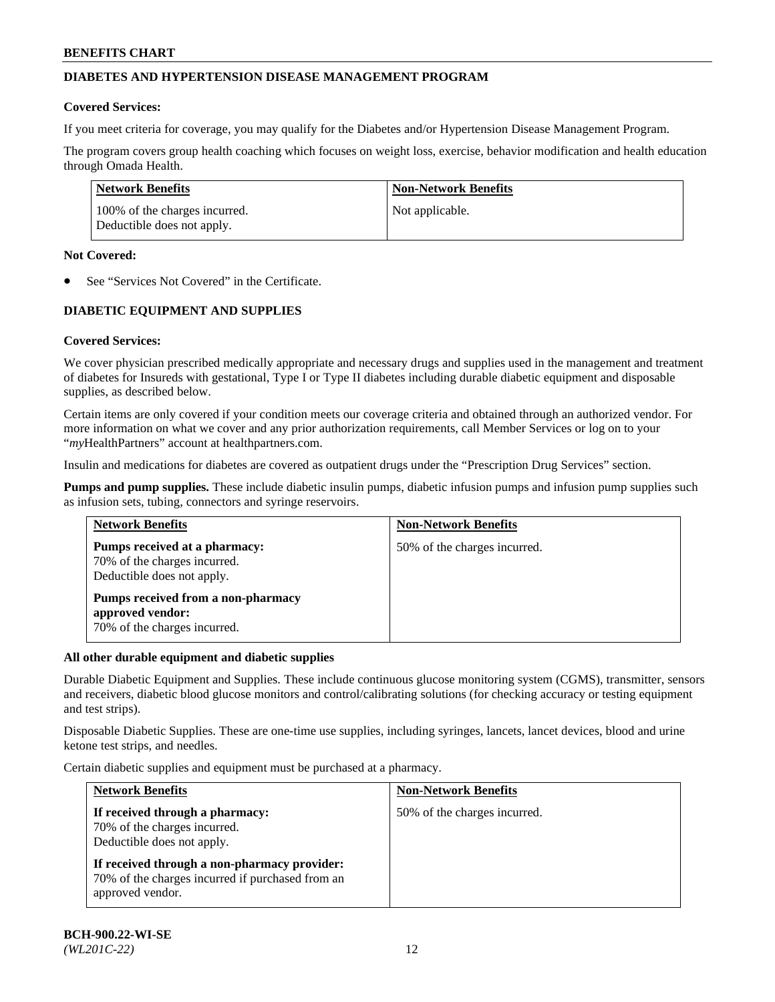# **DIABETES AND HYPERTENSION DISEASE MANAGEMENT PROGRAM**

## **Covered Services:**

If you meet criteria for coverage, you may qualify for the Diabetes and/or Hypertension Disease Management Program.

The program covers group health coaching which focuses on weight loss, exercise, behavior modification and health education through Omada Health.

| Network Benefits                                            | <b>Non-Network Benefits</b> |
|-------------------------------------------------------------|-----------------------------|
| 100% of the charges incurred.<br>Deductible does not apply. | Not applicable.             |

## **Not Covered:**

See "Services Not Covered" in the Certificate.

# **DIABETIC EQUIPMENT AND SUPPLIES**

## **Covered Services:**

We cover physician prescribed medically appropriate and necessary drugs and supplies used in the management and treatment of diabetes for Insureds with gestational, Type I or Type II diabetes including durable diabetic equipment and disposable supplies, as described below.

Certain items are only covered if your condition meets our coverage criteria and obtained through an authorized vendor. For more information on what we cover and any prior authorization requirements, call Member Services or log on to your "*my*HealthPartners" account at [healthpartners.com.](http://www.healthpartners.com/)

Insulin and medications for diabetes are covered as outpatient drugs under the "Prescription Drug Services" section.

**Pumps and pump supplies.** These include diabetic insulin pumps, diabetic infusion pumps and infusion pump supplies such as infusion sets, tubing, connectors and syringe reservoirs.

| <b>Network Benefits</b>                                                                     | <b>Non-Network Benefits</b>  |
|---------------------------------------------------------------------------------------------|------------------------------|
| Pumps received at a pharmacy:<br>70% of the charges incurred.<br>Deductible does not apply. | 50% of the charges incurred. |
| Pumps received from a non-pharmacy<br>approved vendor:<br>70% of the charges incurred.      |                              |

## **All other durable equipment and diabetic supplies**

Durable Diabetic Equipment and Supplies. These include continuous glucose monitoring system (CGMS), transmitter, sensors and receivers, diabetic blood glucose monitors and control/calibrating solutions (for checking accuracy or testing equipment and test strips).

Disposable Diabetic Supplies. These are one-time use supplies, including syringes, lancets, lancet devices, blood and urine ketone test strips, and needles.

Certain diabetic supplies and equipment must be purchased at a pharmacy.

| <b>Network Benefits</b>                                                                                              | <b>Non-Network Benefits</b>  |  |
|----------------------------------------------------------------------------------------------------------------------|------------------------------|--|
| If received through a pharmacy:<br>70% of the charges incurred.<br>Deductible does not apply.                        | 50% of the charges incurred. |  |
| If received through a non-pharmacy provider:<br>70% of the charges incurred if purchased from an<br>approved vendor. |                              |  |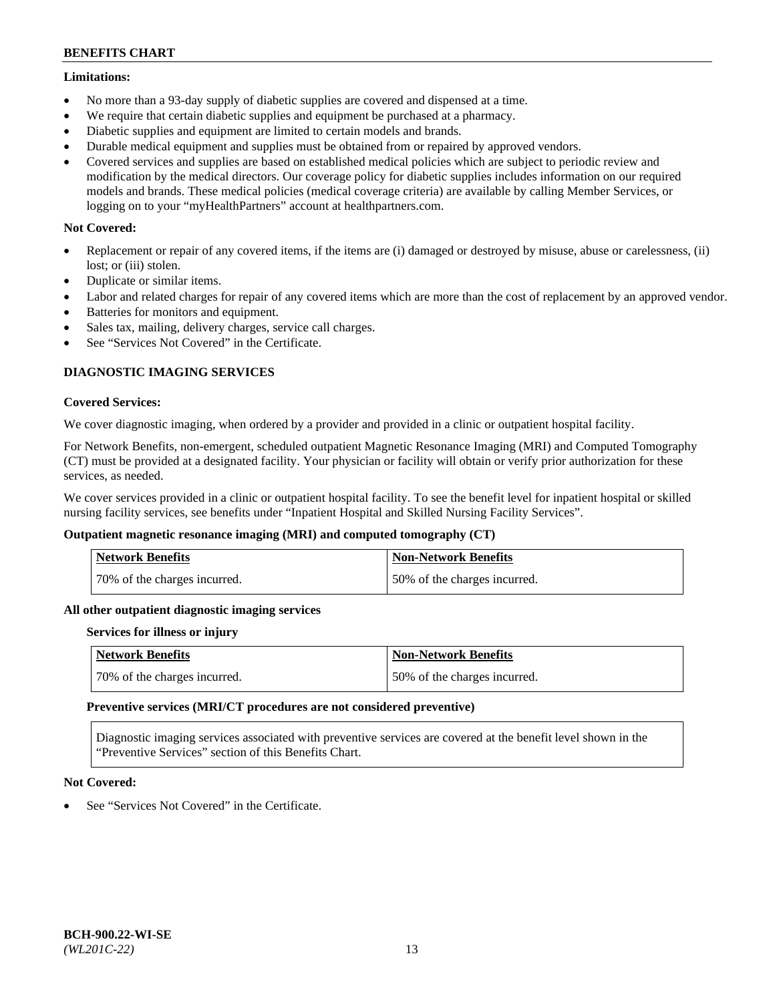## **Limitations:**

- No more than a 93-day supply of diabetic supplies are covered and dispensed at a time.
- We require that certain diabetic supplies and equipment be purchased at a pharmacy.
- Diabetic supplies and equipment are limited to certain models and brands.
- Durable medical equipment and supplies must be obtained from or repaired by approved vendors.
- Covered services and supplies are based on established medical policies which are subject to periodic review and modification by the medical directors. Our coverage policy for diabetic supplies includes information on our required models and brands. These medical policies (medical coverage criteria) are available by calling Member Services, or logging on to your "myHealthPartners" account at [healthpartners.com.](http://www.healthpartners.com/)

## **Not Covered:**

- Replacement or repair of any covered items, if the items are (i) damaged or destroyed by misuse, abuse or carelessness, (ii) lost; or (iii) stolen.
- Duplicate or similar items.
- Labor and related charges for repair of any covered items which are more than the cost of replacement by an approved vendor.
- Batteries for monitors and equipment.
- Sales tax, mailing, delivery charges, service call charges.
- See "Services Not Covered" in the Certificate.

## **DIAGNOSTIC IMAGING SERVICES**

## **Covered Services:**

We cover diagnostic imaging, when ordered by a provider and provided in a clinic or outpatient hospital facility.

For Network Benefits, non-emergent, scheduled outpatient Magnetic Resonance Imaging (MRI) and Computed Tomography (CT) must be provided at a designated facility. Your physician or facility will obtain or verify prior authorization for these services, as needed.

We cover services provided in a clinic or outpatient hospital facility. To see the benefit level for inpatient hospital or skilled nursing facility services, see benefits under "Inpatient Hospital and Skilled Nursing Facility Services".

## **Outpatient magnetic resonance imaging (MRI) and computed tomography (CT)**

| <b>Network Benefits</b>      | <b>Non-Network Benefits</b>  |
|------------------------------|------------------------------|
| 70% of the charges incurred. | 50% of the charges incurred. |

#### **All other outpatient diagnostic imaging services**

#### **Services for illness or injury**

| <b>Network Benefits</b>      | Non-Network Benefits         |
|------------------------------|------------------------------|
| 70% of the charges incurred. | 50% of the charges incurred. |

#### **Preventive services (MRI/CT procedures are not considered preventive)**

Diagnostic imaging services associated with preventive services are covered at the benefit level shown in the "Preventive Services" section of this Benefits Chart.

## **Not Covered:**

See "Services Not Covered" in the Certificate.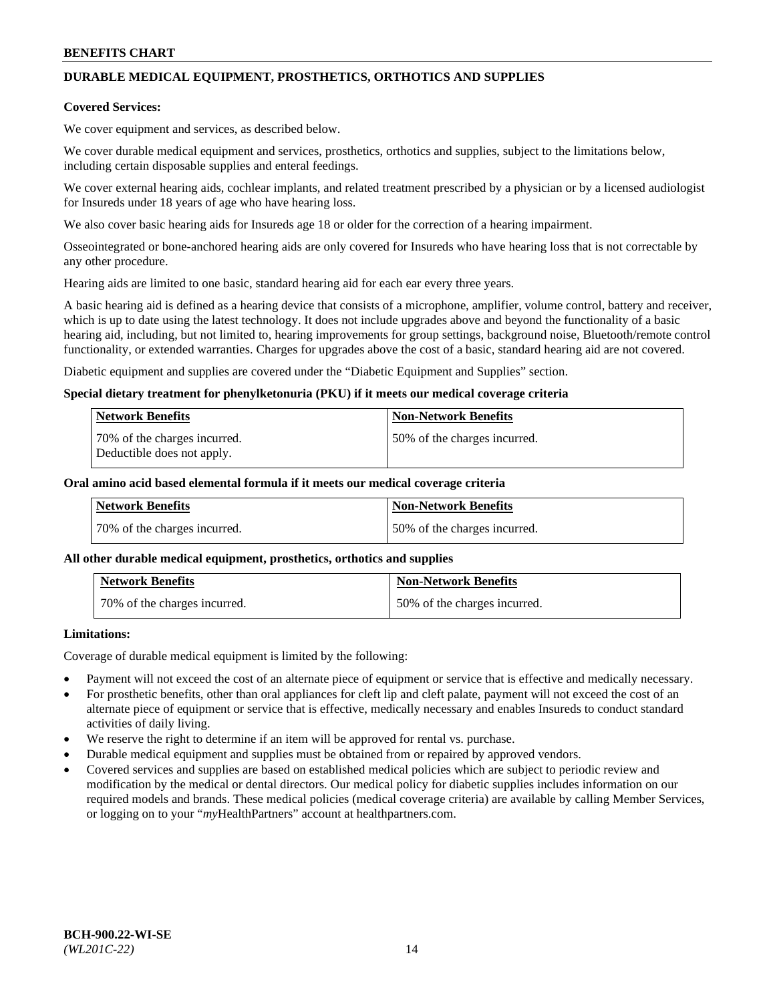# **DURABLE MEDICAL EQUIPMENT, PROSTHETICS, ORTHOTICS AND SUPPLIES**

## **Covered Services:**

We cover equipment and services, as described below.

We cover durable medical equipment and services, prosthetics, orthotics and supplies, subject to the limitations below, including certain disposable supplies and enteral feedings.

We cover external hearing aids, cochlear implants, and related treatment prescribed by a physician or by a licensed audiologist for Insureds under 18 years of age who have hearing loss.

We also cover basic hearing aids for Insureds age 18 or older for the correction of a hearing impairment.

Osseointegrated or bone-anchored hearing aids are only covered for Insureds who have hearing loss that is not correctable by any other procedure.

Hearing aids are limited to one basic, standard hearing aid for each ear every three years.

A basic hearing aid is defined as a hearing device that consists of a microphone, amplifier, volume control, battery and receiver, which is up to date using the latest technology. It does not include upgrades above and beyond the functionality of a basic hearing aid, including, but not limited to, hearing improvements for group settings, background noise, Bluetooth/remote control functionality, or extended warranties. Charges for upgrades above the cost of a basic, standard hearing aid are not covered.

Diabetic equipment and supplies are covered under the "Diabetic Equipment and Supplies" section.

## **Special dietary treatment for phenylketonuria (PKU) if it meets our medical coverage criteria**

| <b>Network Benefits</b>                                    | <b>Non-Network Benefits</b>  |
|------------------------------------------------------------|------------------------------|
| 70% of the charges incurred.<br>Deductible does not apply. | 50% of the charges incurred. |

## **Oral amino acid based elemental formula if it meets our medical coverage criteria**

| Network Benefits             | <b>Non-Network Benefits</b>  |
|------------------------------|------------------------------|
| 70% of the charges incurred. | 50% of the charges incurred. |

#### **All other durable medical equipment, prosthetics, orthotics and supplies**

| <b>Network Benefits</b>      | <b>Non-Network Benefits</b>  |
|------------------------------|------------------------------|
| 70% of the charges incurred. | 50% of the charges incurred. |

## **Limitations:**

Coverage of durable medical equipment is limited by the following:

- Payment will not exceed the cost of an alternate piece of equipment or service that is effective and medically necessary.
- For prosthetic benefits, other than oral appliances for cleft lip and cleft palate, payment will not exceed the cost of an alternate piece of equipment or service that is effective, medically necessary and enables Insureds to conduct standard activities of daily living.
- We reserve the right to determine if an item will be approved for rental vs. purchase.
- Durable medical equipment and supplies must be obtained from or repaired by approved vendors.
- Covered services and supplies are based on established medical policies which are subject to periodic review and modification by the medical or dental directors. Our medical policy for diabetic supplies includes information on our required models and brands. These medical policies (medical coverage criteria) are available by calling Member Services, or logging on to your "*my*HealthPartners" account a[t healthpartners.com.](http://www.healthpartners.com/)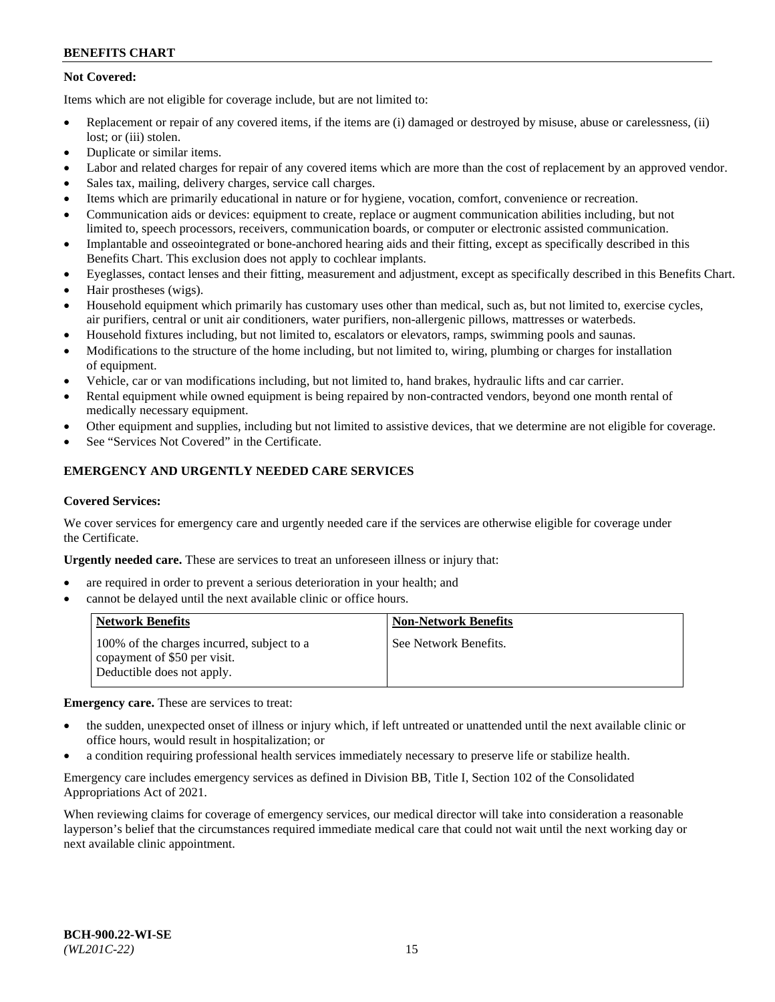# **Not Covered:**

Items which are not eligible for coverage include, but are not limited to:

- Replacement or repair of any covered items, if the items are (i) damaged or destroyed by misuse, abuse or carelessness, (ii) lost; or (iii) stolen.
- Duplicate or similar items.
- Labor and related charges for repair of any covered items which are more than the cost of replacement by an approved vendor.
- Sales tax, mailing, delivery charges, service call charges.
- Items which are primarily educational in nature or for hygiene, vocation, comfort, convenience or recreation.
- Communication aids or devices: equipment to create, replace or augment communication abilities including, but not limited to, speech processors, receivers, communication boards, or computer or electronic assisted communication.
- Implantable and osseointegrated or bone-anchored hearing aids and their fitting, except as specifically described in this Benefits Chart. This exclusion does not apply to cochlear implants.
- Eyeglasses, contact lenses and their fitting, measurement and adjustment, except as specifically described in this Benefits Chart.
- Hair prostheses (wigs).
- Household equipment which primarily has customary uses other than medical, such as, but not limited to, exercise cycles, air purifiers, central or unit air conditioners, water purifiers, non-allergenic pillows, mattresses or waterbeds.
- Household fixtures including, but not limited to, escalators or elevators, ramps, swimming pools and saunas.
- Modifications to the structure of the home including, but not limited to, wiring, plumbing or charges for installation of equipment.
- Vehicle, car or van modifications including, but not limited to, hand brakes, hydraulic lifts and car carrier.
- Rental equipment while owned equipment is being repaired by non-contracted vendors, beyond one month rental of medically necessary equipment.
- Other equipment and supplies, including but not limited to assistive devices, that we determine are not eligible for coverage.
- See "Services Not Covered" in the Certificate.

# **EMERGENCY AND URGENTLY NEEDED CARE SERVICES**

### **Covered Services:**

We cover services for emergency care and urgently needed care if the services are otherwise eligible for coverage under the Certificate.

**Urgently needed care.** These are services to treat an unforeseen illness or injury that:

- are required in order to prevent a serious deterioration in your health; and
- cannot be delayed until the next available clinic or office hours.

| <b>Network Benefits</b>                                                                                  | <b>Non-Network Benefits</b> |
|----------------------------------------------------------------------------------------------------------|-----------------------------|
| 100% of the charges incurred, subject to a<br>copayment of \$50 per visit.<br>Deductible does not apply. | See Network Benefits.       |

**Emergency care.** These are services to treat:

- the sudden, unexpected onset of illness or injury which, if left untreated or unattended until the next available clinic or office hours, would result in hospitalization; or
- a condition requiring professional health services immediately necessary to preserve life or stabilize health.

Emergency care includes emergency services as defined in Division BB, Title I, Section 102 of the Consolidated Appropriations Act of 2021.

When reviewing claims for coverage of emergency services, our medical director will take into consideration a reasonable layperson's belief that the circumstances required immediate medical care that could not wait until the next working day or next available clinic appointment.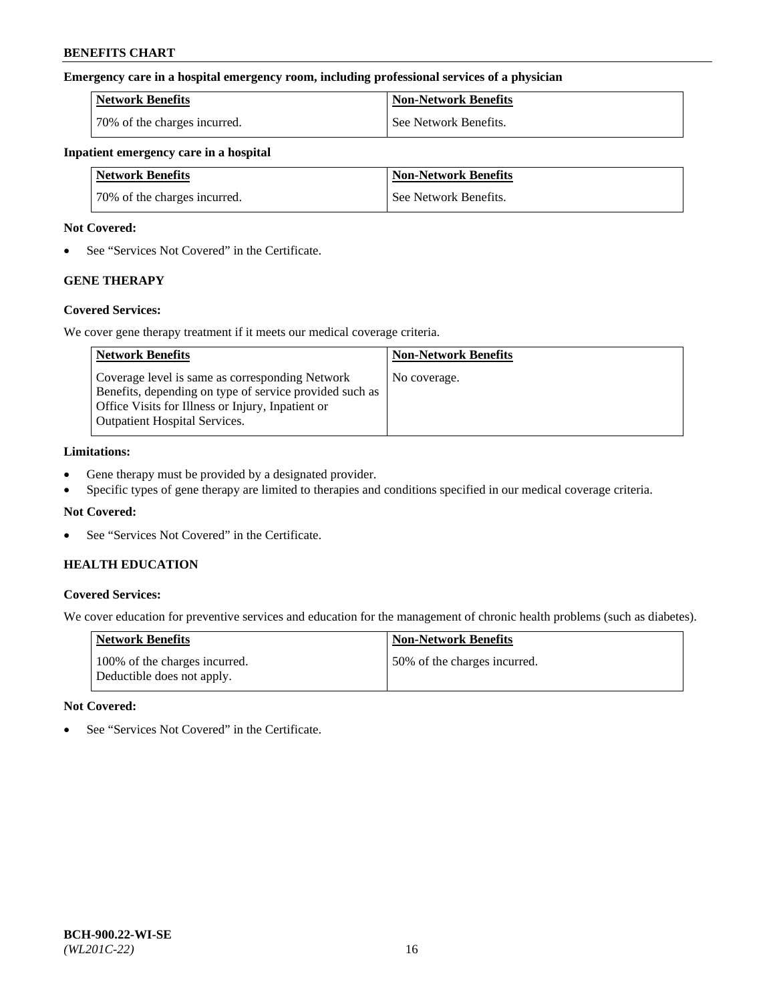## **Emergency care in a hospital emergency room, including professional services of a physician**

| <b>Network Benefits</b>      | <b>Non-Network Benefits</b> |
|------------------------------|-----------------------------|
| 70% of the charges incurred. | See Network Benefits.       |

## **Inpatient emergency care in a hospital**

| <b>Network Benefits</b>      | <b>Non-Network Benefits</b> |
|------------------------------|-----------------------------|
| 70% of the charges incurred. | See Network Benefits.       |

## **Not Covered:**

• See "Services Not Covered" in the Certificate.

# **GENE THERAPY**

## **Covered Services:**

We cover gene therapy treatment if it meets our medical coverage criteria.

| <b>Network Benefits</b>                                                                                                                                                                                 | <b>Non-Network Benefits</b> |
|---------------------------------------------------------------------------------------------------------------------------------------------------------------------------------------------------------|-----------------------------|
| Coverage level is same as corresponding Network<br>Benefits, depending on type of service provided such as<br>Office Visits for Illness or Injury, Inpatient or<br><b>Outpatient Hospital Services.</b> | No coverage.                |

## **Limitations:**

- Gene therapy must be provided by a designated provider.
- Specific types of gene therapy are limited to therapies and conditions specified in our medical coverage criteria.

## **Not Covered:**

• See "Services Not Covered" in the Certificate.

# **HEALTH EDUCATION**

## **Covered Services:**

We cover education for preventive services and education for the management of chronic health problems (such as diabetes).

| <b>Network Benefits</b>                                     | <b>Non-Network Benefits</b>  |
|-------------------------------------------------------------|------------------------------|
| 100% of the charges incurred.<br>Deductible does not apply. | 50% of the charges incurred. |

#### **Not Covered:**

• See "Services Not Covered" in the Certificate.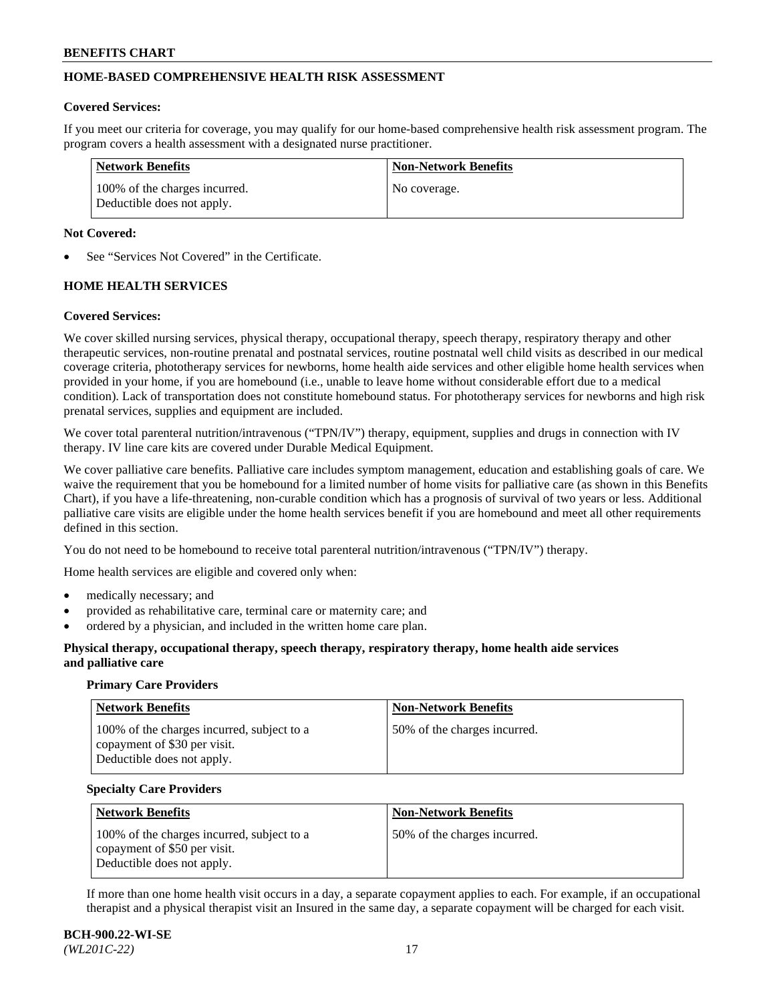# **HOME-BASED COMPREHENSIVE HEALTH RISK ASSESSMENT**

## **Covered Services:**

If you meet our criteria for coverage, you may qualify for our home-based comprehensive health risk assessment program. The program covers a health assessment with a designated nurse practitioner.

| <b>Network Benefits</b>                                     | <b>Non-Network Benefits</b> |
|-------------------------------------------------------------|-----------------------------|
| 100% of the charges incurred.<br>Deductible does not apply. | No coverage.                |

## **Not Covered:**

See "Services Not Covered" in the Certificate.

# **HOME HEALTH SERVICES**

## **Covered Services:**

We cover skilled nursing services, physical therapy, occupational therapy, speech therapy, respiratory therapy and other therapeutic services, non-routine prenatal and postnatal services, routine postnatal well child visits as described in our medical coverage criteria, phototherapy services for newborns, home health aide services and other eligible home health services when provided in your home, if you are homebound (i.e., unable to leave home without considerable effort due to a medical condition). Lack of transportation does not constitute homebound status. For phototherapy services for newborns and high risk prenatal services, supplies and equipment are included.

We cover total parenteral nutrition/intravenous ("TPN/IV") therapy, equipment, supplies and drugs in connection with IV therapy. IV line care kits are covered under Durable Medical Equipment.

We cover palliative care benefits. Palliative care includes symptom management, education and establishing goals of care. We waive the requirement that you be homebound for a limited number of home visits for palliative care (as shown in this Benefits Chart), if you have a life-threatening, non-curable condition which has a prognosis of survival of two years or less. Additional palliative care visits are eligible under the home health services benefit if you are homebound and meet all other requirements defined in this section.

You do not need to be homebound to receive total parenteral nutrition/intravenous ("TPN/IV") therapy.

Home health services are eligible and covered only when:

- medically necessary; and
- provided as rehabilitative care, terminal care or maternity care; and
- ordered by a physician, and included in the written home care plan.

## **Physical therapy, occupational therapy, speech therapy, respiratory therapy, home health aide services and palliative care**

#### **Primary Care Providers**

| <b>Network Benefits</b>                                                                                  | <b>Non-Network Benefits</b>   |
|----------------------------------------------------------------------------------------------------------|-------------------------------|
| 100% of the charges incurred, subject to a<br>copayment of \$30 per visit.<br>Deductible does not apply. | 150% of the charges incurred. |

#### **Specialty Care Providers**

| <b>Network Benefits</b>                                                                                  | <b>Non-Network Benefits</b>  |
|----------------------------------------------------------------------------------------------------------|------------------------------|
| 100% of the charges incurred, subject to a<br>copayment of \$50 per visit.<br>Deductible does not apply. | 50% of the charges incurred. |

If more than one home health visit occurs in a day, a separate copayment applies to each. For example, if an occupational therapist and a physical therapist visit an Insured in the same day, a separate copayment will be charged for each visit.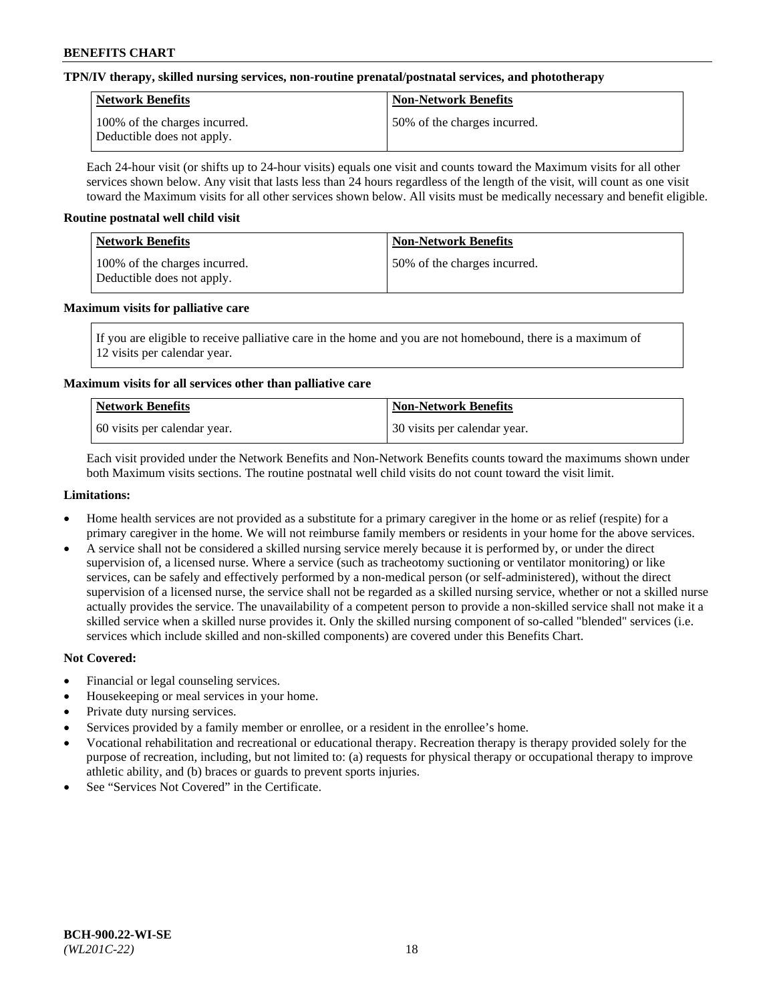## **TPN/IV therapy, skilled nursing services, non-routine prenatal/postnatal services, and phototherapy**

| Network Benefits                                            | <b>Non-Network Benefits</b>  |
|-------------------------------------------------------------|------------------------------|
| 100% of the charges incurred.<br>Deductible does not apply. | 50% of the charges incurred. |

Each 24-hour visit (or shifts up to 24-hour visits) equals one visit and counts toward the Maximum visits for all other services shown below. Any visit that lasts less than 24 hours regardless of the length of the visit, will count as one visit toward the Maximum visits for all other services shown below. All visits must be medically necessary and benefit eligible.

## **Routine postnatal well child visit**

| Network Benefits                                            | <b>Non-Network Benefits</b>  |
|-------------------------------------------------------------|------------------------------|
| 100% of the charges incurred.<br>Deductible does not apply. | 50% of the charges incurred. |

## **Maximum visits for palliative care**

If you are eligible to receive palliative care in the home and you are not homebound, there is a maximum of 12 visits per calendar year.

## **Maximum visits for all services other than palliative care**

| Network Benefits               | <b>Non-Network Benefits</b>  |
|--------------------------------|------------------------------|
| 1.60 visits per calendar year. | 30 visits per calendar year. |

Each visit provided under the Network Benefits and Non-Network Benefits counts toward the maximums shown under both Maximum visits sections. The routine postnatal well child visits do not count toward the visit limit.

## **Limitations:**

- Home health services are not provided as a substitute for a primary caregiver in the home or as relief (respite) for a primary caregiver in the home. We will not reimburse family members or residents in your home for the above services.
- A service shall not be considered a skilled nursing service merely because it is performed by, or under the direct supervision of, a licensed nurse. Where a service (such as tracheotomy suctioning or ventilator monitoring) or like services, can be safely and effectively performed by a non-medical person (or self-administered), without the direct supervision of a licensed nurse, the service shall not be regarded as a skilled nursing service, whether or not a skilled nurse actually provides the service. The unavailability of a competent person to provide a non-skilled service shall not make it a skilled service when a skilled nurse provides it. Only the skilled nursing component of so-called "blended" services (i.e. services which include skilled and non-skilled components) are covered under this Benefits Chart.

- Financial or legal counseling services.
- Housekeeping or meal services in your home.
- Private duty nursing services.
- Services provided by a family member or enrollee, or a resident in the enrollee's home.
- Vocational rehabilitation and recreational or educational therapy. Recreation therapy is therapy provided solely for the purpose of recreation, including, but not limited to: (a) requests for physical therapy or occupational therapy to improve athletic ability, and (b) braces or guards to prevent sports injuries.
- See "Services Not Covered" in the Certificate.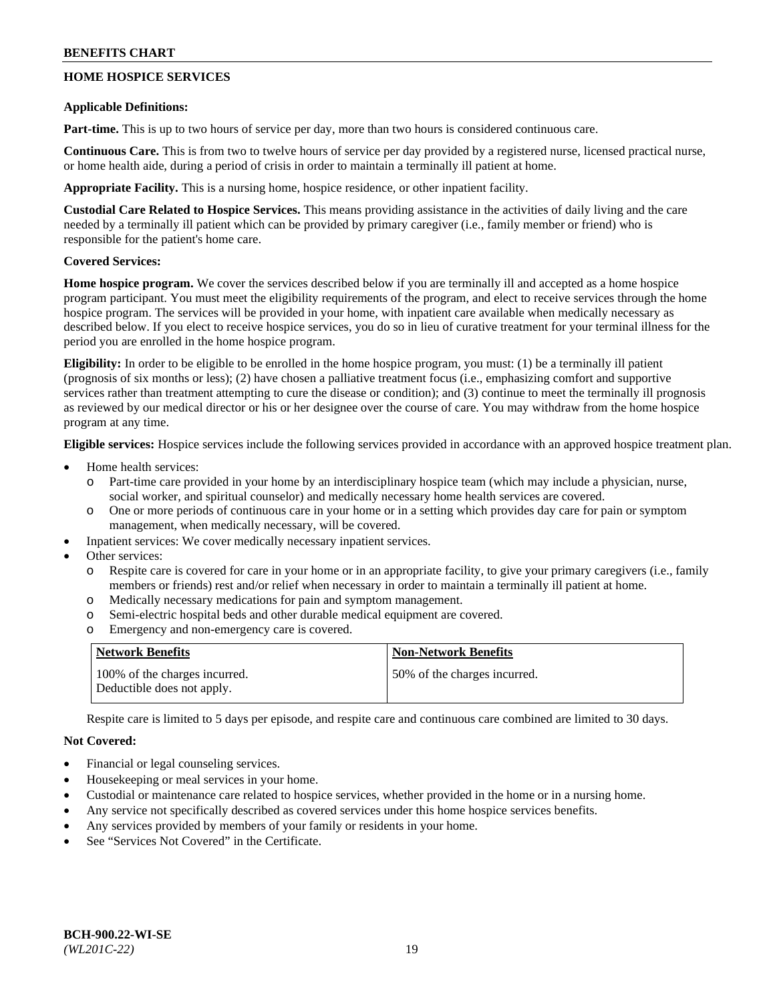# **HOME HOSPICE SERVICES**

## **Applicable Definitions:**

**Part-time.** This is up to two hours of service per day, more than two hours is considered continuous care.

**Continuous Care.** This is from two to twelve hours of service per day provided by a registered nurse, licensed practical nurse, or home health aide, during a period of crisis in order to maintain a terminally ill patient at home.

**Appropriate Facility.** This is a nursing home, hospice residence, or other inpatient facility.

**Custodial Care Related to Hospice Services.** This means providing assistance in the activities of daily living and the care needed by a terminally ill patient which can be provided by primary caregiver (i.e., family member or friend) who is responsible for the patient's home care.

## **Covered Services:**

**Home hospice program.** We cover the services described below if you are terminally ill and accepted as a home hospice program participant. You must meet the eligibility requirements of the program, and elect to receive services through the home hospice program. The services will be provided in your home, with inpatient care available when medically necessary as described below. If you elect to receive hospice services, you do so in lieu of curative treatment for your terminal illness for the period you are enrolled in the home hospice program.

**Eligibility:** In order to be eligible to be enrolled in the home hospice program, you must: (1) be a terminally ill patient (prognosis of six months or less); (2) have chosen a palliative treatment focus (i.e., emphasizing comfort and supportive services rather than treatment attempting to cure the disease or condition); and (3) continue to meet the terminally ill prognosis as reviewed by our medical director or his or her designee over the course of care. You may withdraw from the home hospice program at any time.

**Eligible services:** Hospice services include the following services provided in accordance with an approved hospice treatment plan.

- Home health services:
	- o Part-time care provided in your home by an interdisciplinary hospice team (which may include a physician, nurse, social worker, and spiritual counselor) and medically necessary home health services are covered.
	- o One or more periods of continuous care in your home or in a setting which provides day care for pain or symptom management, when medically necessary, will be covered.
	- Inpatient services: We cover medically necessary inpatient services.
- Other services:
	- Respite care is covered for care in your home or in an appropriate facility, to give your primary caregivers (i.e., family members or friends) rest and/or relief when necessary in order to maintain a terminally ill patient at home.
	- o Medically necessary medications for pain and symptom management.
	- o Semi-electric hospital beds and other durable medical equipment are covered.
	- o Emergency and non-emergency care is covered.

| Network Benefits                                            | <b>Non-Network Benefits</b>  |
|-------------------------------------------------------------|------------------------------|
| 100% of the charges incurred.<br>Deductible does not apply. | 50% of the charges incurred. |

Respite care is limited to 5 days per episode, and respite care and continuous care combined are limited to 30 days.

- Financial or legal counseling services.
- Housekeeping or meal services in your home.
- Custodial or maintenance care related to hospice services, whether provided in the home or in a nursing home.
- Any service not specifically described as covered services under this home hospice services benefits.
- Any services provided by members of your family or residents in your home.
- See "Services Not Covered" in the Certificate.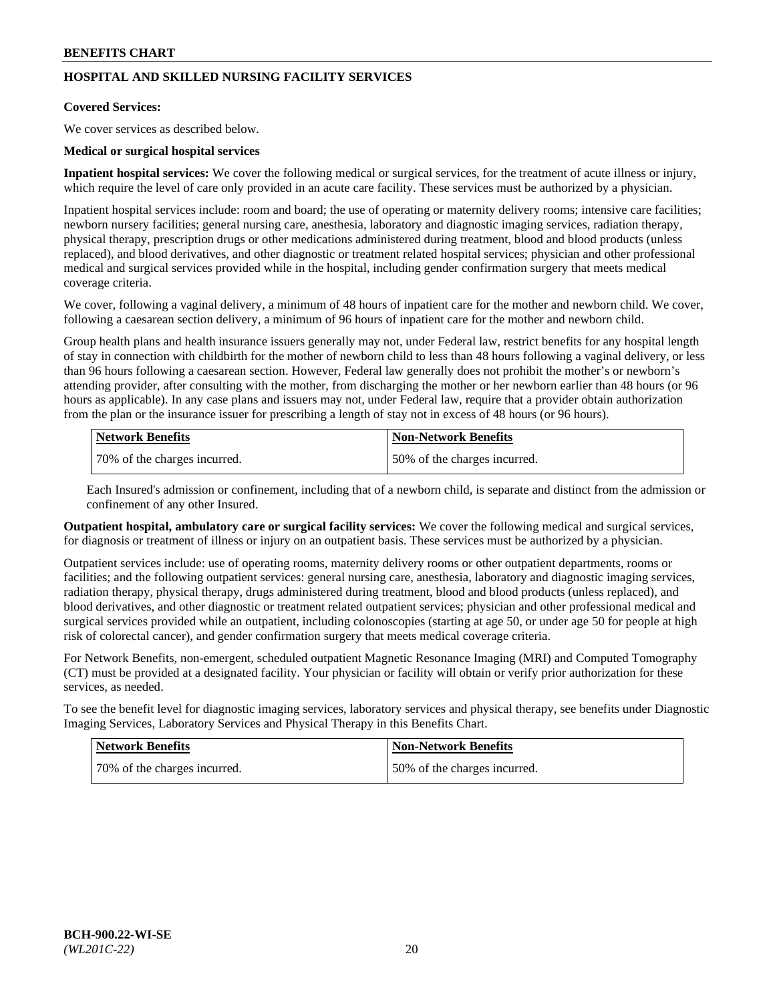# **HOSPITAL AND SKILLED NURSING FACILITY SERVICES**

#### **Covered Services:**

We cover services as described below.

## **Medical or surgical hospital services**

**Inpatient hospital services:** We cover the following medical or surgical services, for the treatment of acute illness or injury, which require the level of care only provided in an acute care facility. These services must be authorized by a physician.

Inpatient hospital services include: room and board; the use of operating or maternity delivery rooms; intensive care facilities; newborn nursery facilities; general nursing care, anesthesia, laboratory and diagnostic imaging services, radiation therapy, physical therapy, prescription drugs or other medications administered during treatment, blood and blood products (unless replaced), and blood derivatives, and other diagnostic or treatment related hospital services; physician and other professional medical and surgical services provided while in the hospital, including gender confirmation surgery that meets medical coverage criteria.

We cover, following a vaginal delivery, a minimum of 48 hours of inpatient care for the mother and newborn child. We cover, following a caesarean section delivery, a minimum of 96 hours of inpatient care for the mother and newborn child.

Group health plans and health insurance issuers generally may not, under Federal law, restrict benefits for any hospital length of stay in connection with childbirth for the mother of newborn child to less than 48 hours following a vaginal delivery, or less than 96 hours following a caesarean section. However, Federal law generally does not prohibit the mother's or newborn's attending provider, after consulting with the mother, from discharging the mother or her newborn earlier than 48 hours (or 96 hours as applicable). In any case plans and issuers may not, under Federal law, require that a provider obtain authorization from the plan or the insurance issuer for prescribing a length of stay not in excess of 48 hours (or 96 hours).

| Network Benefits             | Non-Network Benefits         |
|------------------------------|------------------------------|
| 70% of the charges incurred. | 50% of the charges incurred. |

Each Insured's admission or confinement, including that of a newborn child, is separate and distinct from the admission or confinement of any other Insured.

**Outpatient hospital, ambulatory care or surgical facility services:** We cover the following medical and surgical services, for diagnosis or treatment of illness or injury on an outpatient basis. These services must be authorized by a physician.

Outpatient services include: use of operating rooms, maternity delivery rooms or other outpatient departments, rooms or facilities; and the following outpatient services: general nursing care, anesthesia, laboratory and diagnostic imaging services, radiation therapy, physical therapy, drugs administered during treatment, blood and blood products (unless replaced), and blood derivatives, and other diagnostic or treatment related outpatient services; physician and other professional medical and surgical services provided while an outpatient, including colonoscopies (starting at age 50, or under age 50 for people at high risk of colorectal cancer), and gender confirmation surgery that meets medical coverage criteria.

For Network Benefits, non-emergent, scheduled outpatient Magnetic Resonance Imaging (MRI) and Computed Tomography (CT) must be provided at a designated facility. Your physician or facility will obtain or verify prior authorization for these services, as needed.

To see the benefit level for diagnostic imaging services, laboratory services and physical therapy, see benefits under Diagnostic Imaging Services, Laboratory Services and Physical Therapy in this Benefits Chart.

| <b>Network Benefits</b>      | <b>Non-Network Benefits</b>   |
|------------------------------|-------------------------------|
| 70% of the charges incurred. | 150% of the charges incurred. |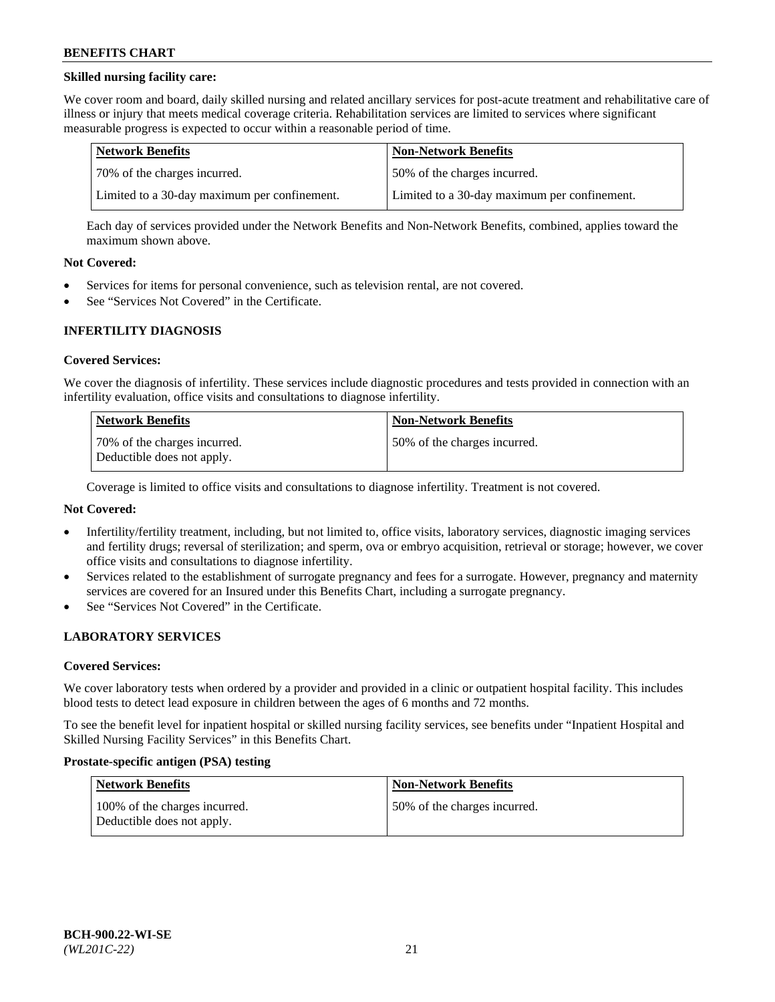## **Skilled nursing facility care:**

We cover room and board, daily skilled nursing and related ancillary services for post-acute treatment and rehabilitative care of illness or injury that meets medical coverage criteria. Rehabilitation services are limited to services where significant measurable progress is expected to occur within a reasonable period of time.

| Network Benefits                             | <b>Non-Network Benefits</b>                  |
|----------------------------------------------|----------------------------------------------|
| 170% of the charges incurred.                | 50% of the charges incurred.                 |
| Limited to a 30-day maximum per confinement. | Limited to a 30-day maximum per confinement. |

Each day of services provided under the Network Benefits and Non-Network Benefits, combined, applies toward the maximum shown above.

## **Not Covered:**

- Services for items for personal convenience, such as television rental, are not covered.
- See "Services Not Covered" in the Certificate.

## **INFERTILITY DIAGNOSIS**

#### **Covered Services:**

We cover the diagnosis of infertility. These services include diagnostic procedures and tests provided in connection with an infertility evaluation, office visits and consultations to diagnose infertility.

| Network Benefits                                           | <b>Non-Network Benefits</b>  |
|------------------------------------------------------------|------------------------------|
| 70% of the charges incurred.<br>Deductible does not apply. | 50% of the charges incurred. |

Coverage is limited to office visits and consultations to diagnose infertility. Treatment is not covered.

## **Not Covered:**

- Infertility/fertility treatment, including, but not limited to, office visits, laboratory services, diagnostic imaging services and fertility drugs; reversal of sterilization; and sperm, ova or embryo acquisition, retrieval or storage; however, we cover office visits and consultations to diagnose infertility.
- Services related to the establishment of surrogate pregnancy and fees for a surrogate. However, pregnancy and maternity services are covered for an Insured under this Benefits Chart, including a surrogate pregnancy.
- See "Services Not Covered" in the Certificate.

## **LABORATORY SERVICES**

#### **Covered Services:**

We cover laboratory tests when ordered by a provider and provided in a clinic or outpatient hospital facility. This includes blood tests to detect lead exposure in children between the ages of 6 months and 72 months.

To see the benefit level for inpatient hospital or skilled nursing facility services, see benefits under "Inpatient Hospital and Skilled Nursing Facility Services" in this Benefits Chart.

#### **Prostate-specific antigen (PSA) testing**

| <b>Network Benefits</b>                                     | <b>Non-Network Benefits</b>  |
|-------------------------------------------------------------|------------------------------|
| 100% of the charges incurred.<br>Deductible does not apply. | 50% of the charges incurred. |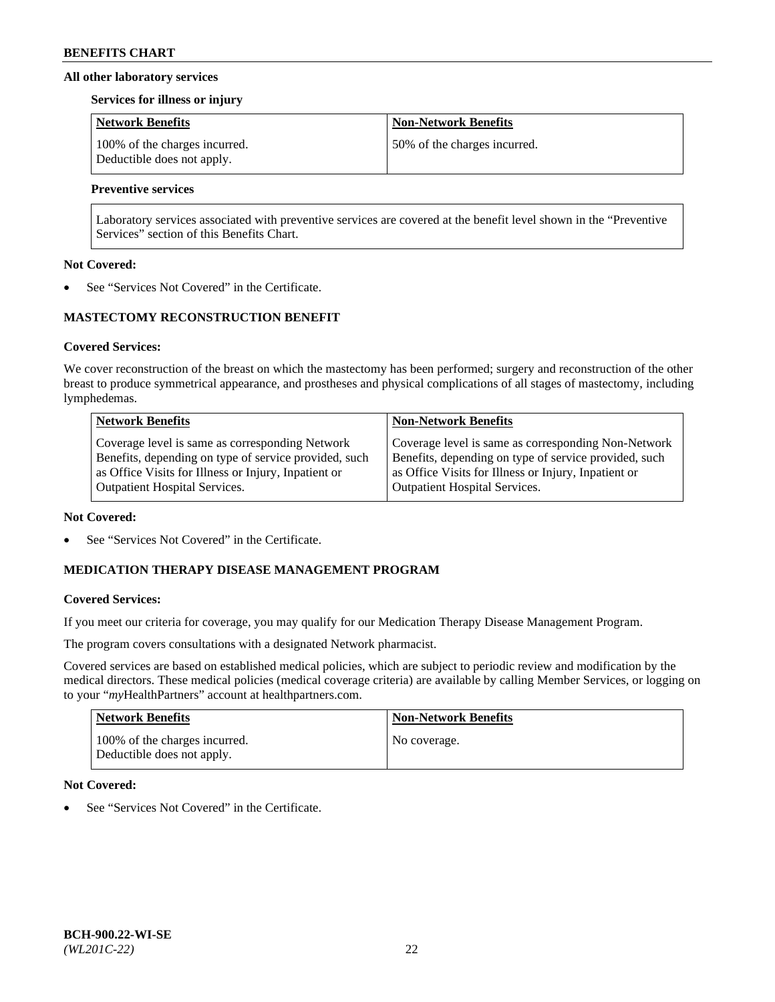## **All other laboratory services**

#### **Services for illness or injury**

| <b>Network Benefits</b>                                     | <b>Non-Network Benefits</b>  |
|-------------------------------------------------------------|------------------------------|
| 100% of the charges incurred.<br>Deductible does not apply. | 50% of the charges incurred. |

# **Preventive services**

Laboratory services associated with preventive services are covered at the benefit level shown in the "Preventive Services" section of this Benefits Chart.

## **Not Covered:**

See "Services Not Covered" in the Certificate.

# **MASTECTOMY RECONSTRUCTION BENEFIT**

## **Covered Services:**

We cover reconstruction of the breast on which the mastectomy has been performed; surgery and reconstruction of the other breast to produce symmetrical appearance, and prostheses and physical complications of all stages of mastectomy, including lymphedemas.

| <b>Network Benefits</b>                               | <b>Non-Network Benefits</b>                           |
|-------------------------------------------------------|-------------------------------------------------------|
| Coverage level is same as corresponding Network       | Coverage level is same as corresponding Non-Network   |
| Benefits, depending on type of service provided, such | Benefits, depending on type of service provided, such |
| as Office Visits for Illness or Injury, Inpatient or  | as Office Visits for Illness or Injury, Inpatient or  |
| <b>Outpatient Hospital Services.</b>                  | Outpatient Hospital Services.                         |

#### **Not Covered:**

See "Services Not Covered" in the Certificate.

# **MEDICATION THERAPY DISEASE MANAGEMENT PROGRAM**

## **Covered Services:**

If you meet our criteria for coverage, you may qualify for our Medication Therapy Disease Management Program.

The program covers consultations with a designated Network pharmacist.

Covered services are based on established medical policies, which are subject to periodic review and modification by the medical directors. These medical policies (medical coverage criteria) are available by calling Member Services, or logging on to your "*my*HealthPartners" account at [healthpartners.com.](http://www.healthpartners.com/)

| <b>Network Benefits</b>                                     | <b>Non-Network Benefits</b> |
|-------------------------------------------------------------|-----------------------------|
| 100% of the charges incurred.<br>Deductible does not apply. | No coverage.                |

## **Not Covered:**

See "Services Not Covered" in the Certificate.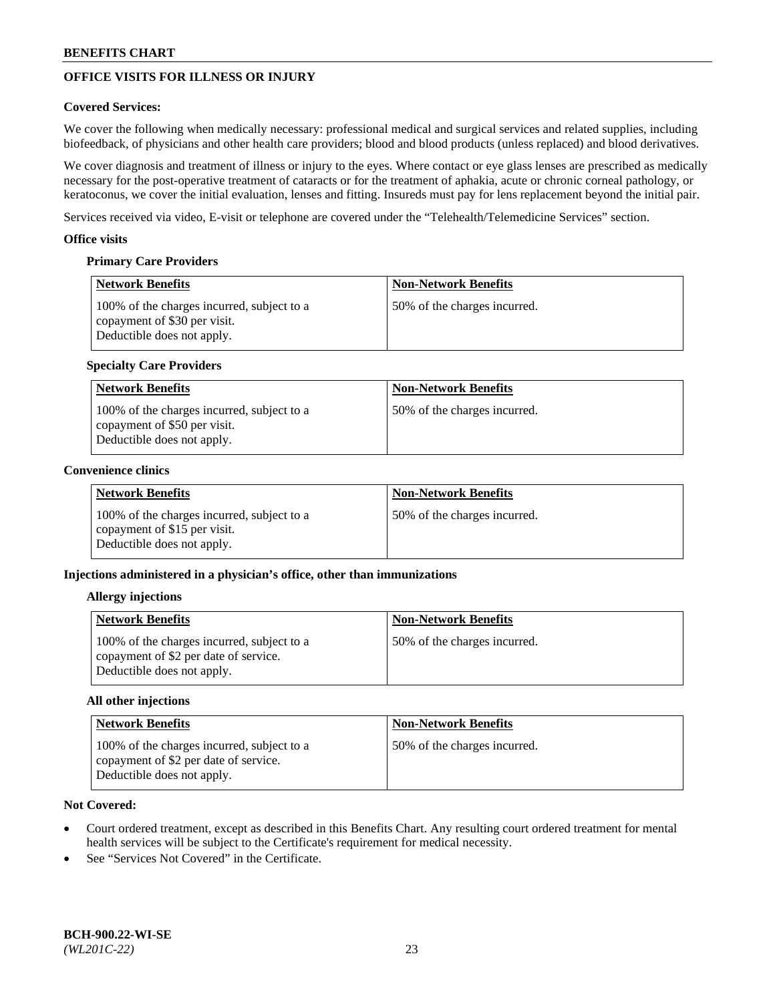# **OFFICE VISITS FOR ILLNESS OR INJURY**

## **Covered Services:**

We cover the following when medically necessary: professional medical and surgical services and related supplies, including biofeedback, of physicians and other health care providers; blood and blood products (unless replaced) and blood derivatives.

We cover diagnosis and treatment of illness or injury to the eyes. Where contact or eye glass lenses are prescribed as medically necessary for the post-operative treatment of cataracts or for the treatment of aphakia, acute or chronic corneal pathology, or keratoconus, we cover the initial evaluation, lenses and fitting. Insureds must pay for lens replacement beyond the initial pair.

Services received via video, E-visit or telephone are covered under the "Telehealth/Telemedicine Services" section.

## **Office visits**

## **Primary Care Providers**

| Network Benefits                                                                                         | <b>Non-Network Benefits</b>  |
|----------------------------------------------------------------------------------------------------------|------------------------------|
| 100% of the charges incurred, subject to a<br>copayment of \$30 per visit.<br>Deductible does not apply. | 50% of the charges incurred. |

## **Specialty Care Providers**

| <b>Network Benefits</b>                                                                                  | <b>Non-Network Benefits</b>  |
|----------------------------------------------------------------------------------------------------------|------------------------------|
| 100% of the charges incurred, subject to a<br>copayment of \$50 per visit.<br>Deductible does not apply. | 50% of the charges incurred. |

## **Convenience clinics**

| <b>Network Benefits</b>                                                                                  | <b>Non-Network Benefits</b>  |
|----------------------------------------------------------------------------------------------------------|------------------------------|
| 100% of the charges incurred, subject to a<br>copayment of \$15 per visit.<br>Deductible does not apply. | 50% of the charges incurred. |

## **Injections administered in a physician's office, other than immunizations**

#### **Allergy injections**

| <b>Network Benefits</b>                                                                                           | <b>Non-Network Benefits</b>  |
|-------------------------------------------------------------------------------------------------------------------|------------------------------|
| 100% of the charges incurred, subject to a<br>copayment of \$2 per date of service.<br>Deductible does not apply. | 50% of the charges incurred. |

#### **All other injections**

| Network Benefits                                                                                                  | <b>Non-Network Benefits</b>  |
|-------------------------------------------------------------------------------------------------------------------|------------------------------|
| 100% of the charges incurred, subject to a<br>copayment of \$2 per date of service.<br>Deductible does not apply. | 50% of the charges incurred. |

- Court ordered treatment, except as described in this Benefits Chart. Any resulting court ordered treatment for mental health services will be subject to the Certificate's requirement for medical necessity.
- See "Services Not Covered" in the Certificate.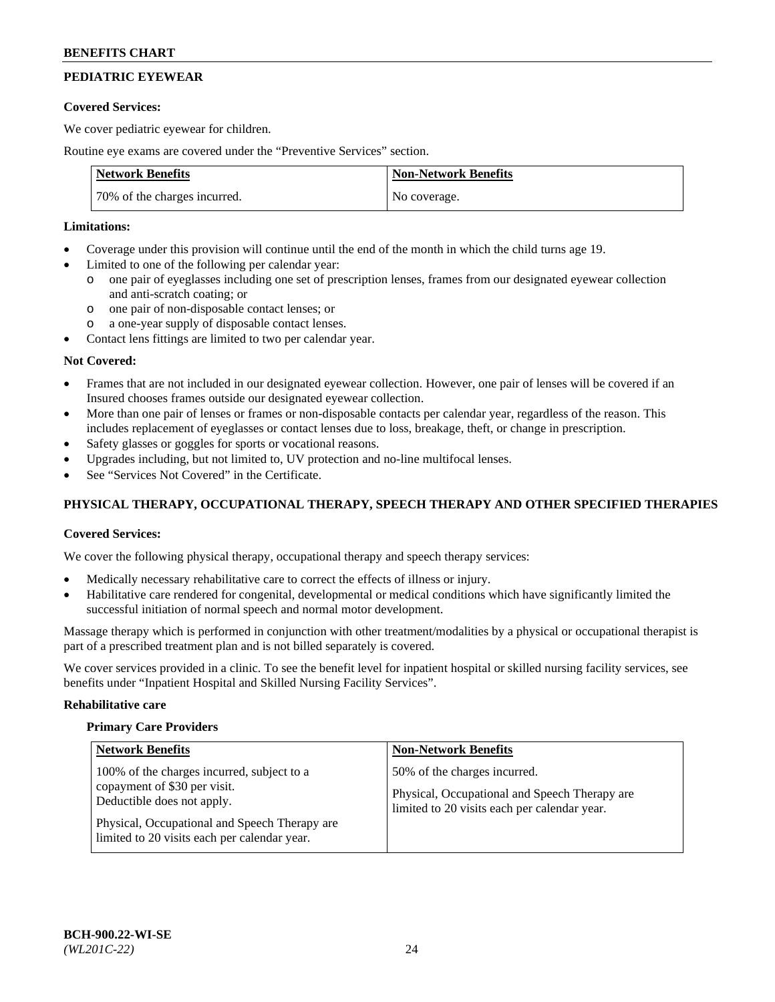# **PEDIATRIC EYEWEAR**

## **Covered Services:**

We cover pediatric eyewear for children.

Routine eye exams are covered under the "Preventive Services" section.

| <b>Network Benefits</b>      | <b>Non-Network Benefits</b> |
|------------------------------|-----------------------------|
| 70% of the charges incurred. | No coverage.                |

# **Limitations:**

- Coverage under this provision will continue until the end of the month in which the child turns age 19.
- Limited to one of the following per calendar year:
	- o one pair of eyeglasses including one set of prescription lenses, frames from our designated eyewear collection and anti-scratch coating; or
	- o one pair of non-disposable contact lenses; or
	- o a one-year supply of disposable contact lenses.
- Contact lens fittings are limited to two per calendar year.

## **Not Covered:**

- Frames that are not included in our designated eyewear collection. However, one pair of lenses will be covered if an Insured chooses frames outside our designated eyewear collection.
- More than one pair of lenses or frames or non-disposable contacts per calendar year, regardless of the reason. This includes replacement of eyeglasses or contact lenses due to loss, breakage, theft, or change in prescription.
- Safety glasses or goggles for sports or vocational reasons.
- Upgrades including, but not limited to, UV protection and no-line multifocal lenses.
- See "Services Not Covered" in the Certificate.

# **PHYSICAL THERAPY, OCCUPATIONAL THERAPY, SPEECH THERAPY AND OTHER SPECIFIED THERAPIES**

## **Covered Services:**

We cover the following physical therapy, occupational therapy and speech therapy services:

- Medically necessary rehabilitative care to correct the effects of illness or injury.
- Habilitative care rendered for congenital, developmental or medical conditions which have significantly limited the successful initiation of normal speech and normal motor development.

Massage therapy which is performed in conjunction with other treatment/modalities by a physical or occupational therapist is part of a prescribed treatment plan and is not billed separately is covered.

We cover services provided in a clinic. To see the benefit level for inpatient hospital or skilled nursing facility services, see benefits under "Inpatient Hospital and Skilled Nursing Facility Services".

#### **Rehabilitative care**

#### **Primary Care Providers**

| <b>Network Benefits</b>                                                                                                                                                                                   | <b>Non-Network Benefits</b>                                                                                                   |
|-----------------------------------------------------------------------------------------------------------------------------------------------------------------------------------------------------------|-------------------------------------------------------------------------------------------------------------------------------|
| 100% of the charges incurred, subject to a<br>copayment of \$30 per visit.<br>Deductible does not apply.<br>Physical, Occupational and Speech Therapy are<br>limited to 20 visits each per calendar year. | 50% of the charges incurred.<br>Physical, Occupational and Speech Therapy are<br>limited to 20 visits each per calendar year. |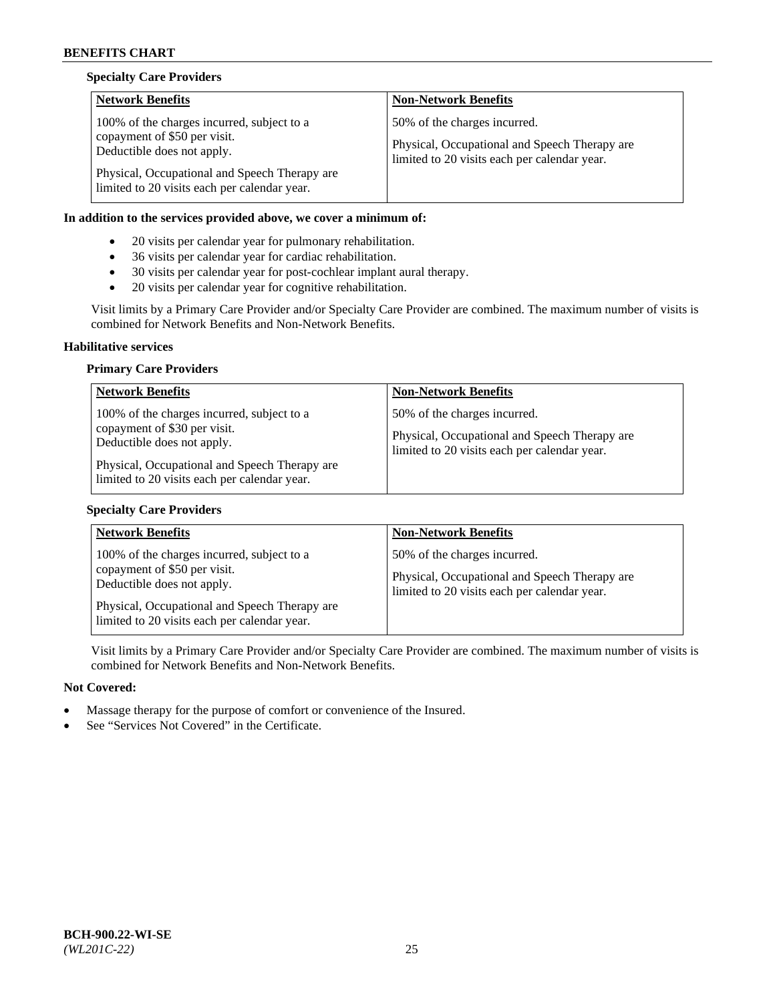## **Specialty Care Providers**

| <b>Network Benefits</b>                                                                                                                                                                                   | <b>Non-Network Benefits</b>                                                                                                   |
|-----------------------------------------------------------------------------------------------------------------------------------------------------------------------------------------------------------|-------------------------------------------------------------------------------------------------------------------------------|
| 100% of the charges incurred, subject to a<br>copayment of \$50 per visit.<br>Deductible does not apply.<br>Physical, Occupational and Speech Therapy are<br>limited to 20 visits each per calendar year. | 50% of the charges incurred.<br>Physical, Occupational and Speech Therapy are<br>limited to 20 visits each per calendar year. |

## **In addition to the services provided above, we cover a minimum of:**

- 20 visits per calendar year for pulmonary rehabilitation.
- 36 visits per calendar year for cardiac rehabilitation.
- 30 visits per calendar year for post-cochlear implant aural therapy.
- 20 visits per calendar year for cognitive rehabilitation.

Visit limits by a Primary Care Provider and/or Specialty Care Provider are combined. The maximum number of visits is combined for Network Benefits and Non-Network Benefits.

#### **Habilitative services**

## **Primary Care Providers**

| <b>Network Benefits</b>                                                                                                                                                                                   | <b>Non-Network Benefits</b>                                                                                                   |
|-----------------------------------------------------------------------------------------------------------------------------------------------------------------------------------------------------------|-------------------------------------------------------------------------------------------------------------------------------|
| 100% of the charges incurred, subject to a<br>copayment of \$30 per visit.<br>Deductible does not apply.<br>Physical, Occupational and Speech Therapy are<br>limited to 20 visits each per calendar year. | 50% of the charges incurred.<br>Physical, Occupational and Speech Therapy are<br>limited to 20 visits each per calendar year. |

#### **Specialty Care Providers**

| <b>Network Benefits</b>                                                                                                                                   | <b>Non-Network Benefits</b>                                                                                                   |
|-----------------------------------------------------------------------------------------------------------------------------------------------------------|-------------------------------------------------------------------------------------------------------------------------------|
| 100% of the charges incurred, subject to a<br>copayment of \$50 per visit.<br>Deductible does not apply.<br>Physical, Occupational and Speech Therapy are | 50% of the charges incurred.<br>Physical, Occupational and Speech Therapy are<br>limited to 20 visits each per calendar year. |
| limited to 20 visits each per calendar year.                                                                                                              |                                                                                                                               |

Visit limits by a Primary Care Provider and/or Specialty Care Provider are combined. The maximum number of visits is combined for Network Benefits and Non-Network Benefits.

- Massage therapy for the purpose of comfort or convenience of the Insured.
- See "Services Not Covered" in the Certificate.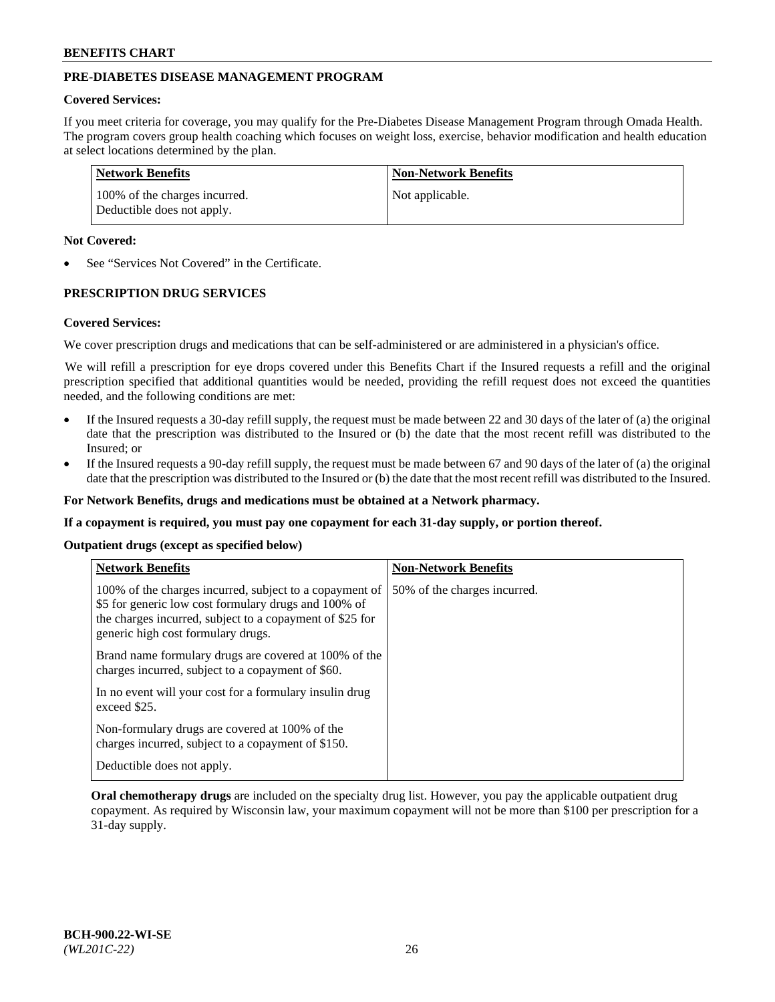# **PRE-DIABETES DISEASE MANAGEMENT PROGRAM**

## **Covered Services:**

If you meet criteria for coverage, you may qualify for the Pre-Diabetes Disease Management Program through Omada Health. The program covers group health coaching which focuses on weight loss, exercise, behavior modification and health education at select locations determined by the plan.

| Network Benefits                                            | <b>Non-Network Benefits</b> |
|-------------------------------------------------------------|-----------------------------|
| 100% of the charges incurred.<br>Deductible does not apply. | Not applicable.             |

## **Not Covered:**

See "Services Not Covered" in the Certificate.

## **PRESCRIPTION DRUG SERVICES**

#### **Covered Services:**

We cover prescription drugs and medications that can be self-administered or are administered in a physician's office.

We will refill a prescription for eye drops covered under this Benefits Chart if the Insured requests a refill and the original prescription specified that additional quantities would be needed, providing the refill request does not exceed the quantities needed, and the following conditions are met:

- If the Insured requests a 30-day refill supply, the request must be made between 22 and 30 days of the later of (a) the original date that the prescription was distributed to the Insured or (b) the date that the most recent refill was distributed to the Insured; or
- If the Insured requests a 90-day refill supply, the request must be made between 67 and 90 days of the later of (a) the original date that the prescription was distributed to the Insured or (b) the date that the most recent refill was distributed to the Insured.

**For Network Benefits, drugs and medications must be obtained at a Network pharmacy.**

**If a copayment is required, you must pay one copayment for each 31-day supply, or portion thereof.**

**Outpatient drugs (except as specified below)**

| <b>Network Benefits</b>                                                                                                                                                                                           | <b>Non-Network Benefits</b>  |
|-------------------------------------------------------------------------------------------------------------------------------------------------------------------------------------------------------------------|------------------------------|
| 100% of the charges incurred, subject to a copayment of<br>\$5 for generic low cost formulary drugs and 100% of<br>the charges incurred, subject to a copayment of \$25 for<br>generic high cost formulary drugs. | 50% of the charges incurred. |
| Brand name formulary drugs are covered at 100% of the<br>charges incurred, subject to a copayment of \$60.                                                                                                        |                              |
| In no event will your cost for a formulary insulin drug<br>exceed \$25.                                                                                                                                           |                              |
| Non-formulary drugs are covered at 100% of the<br>charges incurred, subject to a copayment of \$150.                                                                                                              |                              |
| Deductible does not apply.                                                                                                                                                                                        |                              |

**Oral chemotherapy drugs** are included on the specialty drug list. However, you pay the applicable outpatient drug copayment. As required by Wisconsin law, your maximum copayment will not be more than \$100 per prescription for a 31-day supply.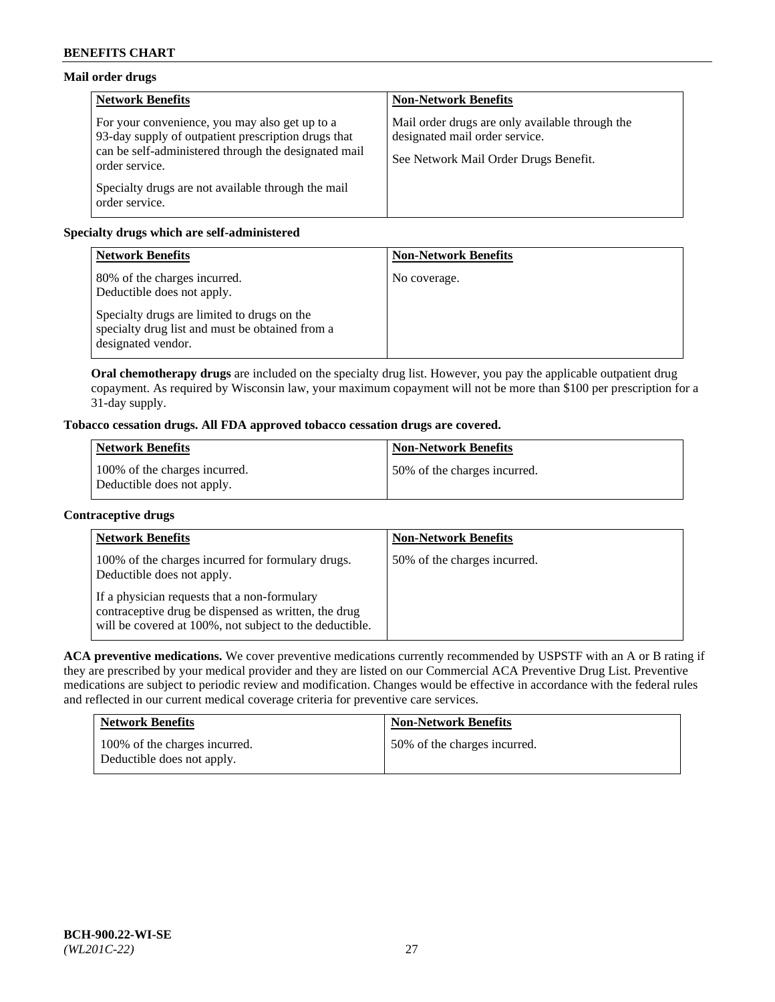# **Mail order drugs**

| <b>Network Benefits</b>                                                                                                                                                         | <b>Non-Network Benefits</b>                                                                                                |
|---------------------------------------------------------------------------------------------------------------------------------------------------------------------------------|----------------------------------------------------------------------------------------------------------------------------|
| For your convenience, you may also get up to a<br>93-day supply of outpatient prescription drugs that<br>can be self-administered through the designated mail<br>order service. | Mail order drugs are only available through the<br>designated mail order service.<br>See Network Mail Order Drugs Benefit. |
| Specialty drugs are not available through the mail<br>order service.                                                                                                            |                                                                                                                            |

# **Specialty drugs which are self-administered**

| <b>Network Benefits</b>                                                                                              | <b>Non-Network Benefits</b> |
|----------------------------------------------------------------------------------------------------------------------|-----------------------------|
| 80% of the charges incurred.<br>Deductible does not apply.                                                           | No coverage.                |
| Specialty drugs are limited to drugs on the<br>specialty drug list and must be obtained from a<br>designated vendor. |                             |

**Oral chemotherapy drugs** are included on the specialty drug list. However, you pay the applicable outpatient drug copayment. As required by Wisconsin law, your maximum copayment will not be more than \$100 per prescription for a 31-day supply.

# **Tobacco cessation drugs. All FDA approved tobacco cessation drugs are covered.**

| <b>Network Benefits</b>                                     | <b>Non-Network Benefits</b>  |
|-------------------------------------------------------------|------------------------------|
| 100% of the charges incurred.<br>Deductible does not apply. | 50% of the charges incurred. |

## **Contraceptive drugs**

| <b>Network Benefits</b>                                                                                                                                         | <b>Non-Network Benefits</b>  |
|-----------------------------------------------------------------------------------------------------------------------------------------------------------------|------------------------------|
| 100% of the charges incurred for formulary drugs.<br>Deductible does not apply.                                                                                 | 50% of the charges incurred. |
| If a physician requests that a non-formulary<br>contraceptive drug be dispensed as written, the drug<br>will be covered at 100%, not subject to the deductible. |                              |

**ACA preventive medications.** We cover preventive medications currently recommended by USPSTF with an A or B rating if they are prescribed by your medical provider and they are listed on our Commercial ACA Preventive Drug List. Preventive medications are subject to periodic review and modification. Changes would be effective in accordance with the federal rules and reflected in our current medical coverage criteria for preventive care services.

| <b>Network Benefits</b>                                     | <b>Non-Network Benefits</b>  |
|-------------------------------------------------------------|------------------------------|
| 100% of the charges incurred.<br>Deductible does not apply. | 50% of the charges incurred. |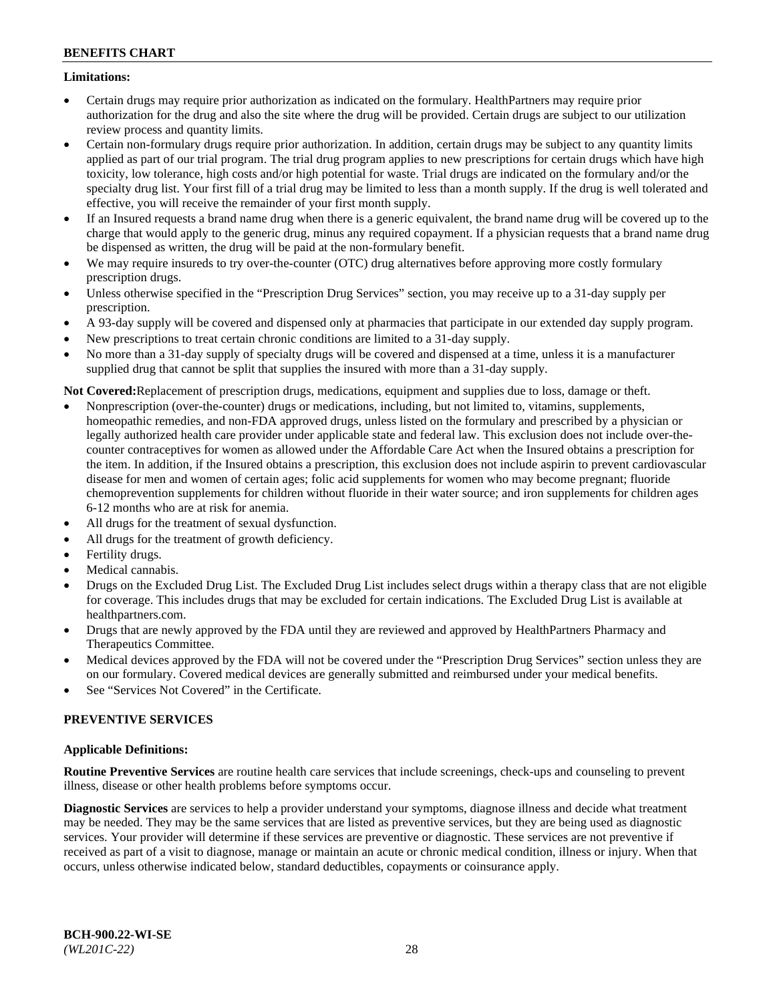## **Limitations:**

- Certain drugs may require prior authorization as indicated on the formulary. HealthPartners may require prior authorization for the drug and also the site where the drug will be provided. Certain drugs are subject to our utilization review process and quantity limits.
- Certain non-formulary drugs require prior authorization. In addition, certain drugs may be subject to any quantity limits applied as part of our trial program. The trial drug program applies to new prescriptions for certain drugs which have high toxicity, low tolerance, high costs and/or high potential for waste. Trial drugs are indicated on the formulary and/or the specialty drug list. Your first fill of a trial drug may be limited to less than a month supply. If the drug is well tolerated and effective, you will receive the remainder of your first month supply.
- If an Insured requests a brand name drug when there is a generic equivalent, the brand name drug will be covered up to the charge that would apply to the generic drug, minus any required copayment. If a physician requests that a brand name drug be dispensed as written, the drug will be paid at the non-formulary benefit.
- We may require insureds to try over-the-counter (OTC) drug alternatives before approving more costly formulary prescription drugs.
- Unless otherwise specified in the "Prescription Drug Services" section, you may receive up to a 31-day supply per prescription.
- A 93-day supply will be covered and dispensed only at pharmacies that participate in our extended day supply program.
- New prescriptions to treat certain chronic conditions are limited to a 31-day supply.
- No more than a 31-day supply of specialty drugs will be covered and dispensed at a time, unless it is a manufacturer supplied drug that cannot be split that supplies the insured with more than a 31-day supply.

**Not Covered:**Replacement of prescription drugs, medications, equipment and supplies due to loss, damage or theft.

- Nonprescription (over-the-counter) drugs or medications, including, but not limited to, vitamins, supplements, homeopathic remedies, and non-FDA approved drugs, unless listed on the formulary and prescribed by a physician or legally authorized health care provider under applicable state and federal law. This exclusion does not include over-thecounter contraceptives for women as allowed under the Affordable Care Act when the Insured obtains a prescription for the item. In addition, if the Insured obtains a prescription, this exclusion does not include aspirin to prevent cardiovascular disease for men and women of certain ages; folic acid supplements for women who may become pregnant; fluoride chemoprevention supplements for children without fluoride in their water source; and iron supplements for children ages 6-12 months who are at risk for anemia.
- All drugs for the treatment of sexual dysfunction.
- All drugs for the treatment of growth deficiency.
- Fertility drugs.
- Medical cannabis.
- Drugs on the Excluded Drug List. The Excluded Drug List includes select drugs within a therapy class that are not eligible for coverage. This includes drugs that may be excluded for certain indications. The Excluded Drug List is available at [healthpartners.com.](http://www.healthpartners.com/)
- Drugs that are newly approved by the FDA until they are reviewed and approved by HealthPartners Pharmacy and Therapeutics Committee.
- Medical devices approved by the FDA will not be covered under the "Prescription Drug Services" section unless they are on our formulary. Covered medical devices are generally submitted and reimbursed under your medical benefits.
- See "Services Not Covered" in the Certificate.

# **PREVENTIVE SERVICES**

## **Applicable Definitions:**

**Routine Preventive Services** are routine health care services that include screenings, check-ups and counseling to prevent illness, disease or other health problems before symptoms occur.

**Diagnostic Services** are services to help a provider understand your symptoms, diagnose illness and decide what treatment may be needed. They may be the same services that are listed as preventive services, but they are being used as diagnostic services. Your provider will determine if these services are preventive or diagnostic. These services are not preventive if received as part of a visit to diagnose, manage or maintain an acute or chronic medical condition, illness or injury. When that occurs, unless otherwise indicated below, standard deductibles, copayments or coinsurance apply.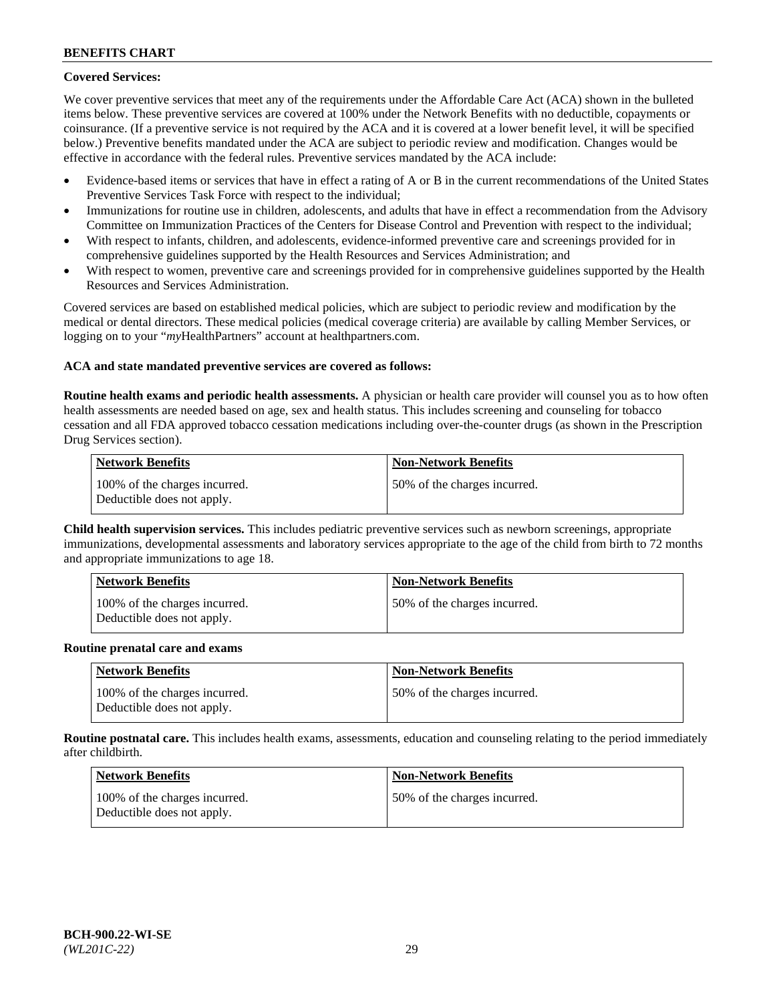# **Covered Services:**

We cover preventive services that meet any of the requirements under the Affordable Care Act (ACA) shown in the bulleted items below. These preventive services are covered at 100% under the Network Benefits with no deductible, copayments or coinsurance. (If a preventive service is not required by the ACA and it is covered at a lower benefit level, it will be specified below.) Preventive benefits mandated under the ACA are subject to periodic review and modification. Changes would be effective in accordance with the federal rules. Preventive services mandated by the ACA include:

- Evidence-based items or services that have in effect a rating of A or B in the current recommendations of the United States Preventive Services Task Force with respect to the individual;
- Immunizations for routine use in children, adolescents, and adults that have in effect a recommendation from the Advisory Committee on Immunization Practices of the Centers for Disease Control and Prevention with respect to the individual;
- With respect to infants, children, and adolescents, evidence-informed preventive care and screenings provided for in comprehensive guidelines supported by the Health Resources and Services Administration; and
- With respect to women, preventive care and screenings provided for in comprehensive guidelines supported by the Health Resources and Services Administration.

Covered services are based on established medical policies, which are subject to periodic review and modification by the medical or dental directors. These medical policies (medical coverage criteria) are available by calling Member Services, or logging on to your "*my*HealthPartners" account at [healthpartners.com.](https://www.healthpartners.com/hp/index.html)

## **ACA and state mandated preventive services are covered as follows:**

**Routine health exams and periodic health assessments.** A physician or health care provider will counsel you as to how often health assessments are needed based on age, sex and health status. This includes screening and counseling for tobacco cessation and all FDA approved tobacco cessation medications including over-the-counter drugs (as shown in the Prescription Drug Services section).

| Network Benefits                                            | <b>Non-Network Benefits</b>  |
|-------------------------------------------------------------|------------------------------|
| 100% of the charges incurred.<br>Deductible does not apply. | 50% of the charges incurred. |

**Child health supervision services.** This includes pediatric preventive services such as newborn screenings, appropriate immunizations, developmental assessments and laboratory services appropriate to the age of the child from birth to 72 months and appropriate immunizations to age 18.

| <b>Network Benefits</b>                                     | <b>Non-Network Benefits</b>  |
|-------------------------------------------------------------|------------------------------|
| 100% of the charges incurred.<br>Deductible does not apply. | 50% of the charges incurred. |

#### **Routine prenatal care and exams**

| <b>Network Benefits</b>                                     | <b>Non-Network Benefits</b>   |
|-------------------------------------------------------------|-------------------------------|
| 100% of the charges incurred.<br>Deductible does not apply. | 150% of the charges incurred. |

**Routine postnatal care.** This includes health exams, assessments, education and counseling relating to the period immediately after childbirth.

| Network Benefits                                            | <b>Non-Network Benefits</b>  |
|-------------------------------------------------------------|------------------------------|
| 100% of the charges incurred.<br>Deductible does not apply. | 50% of the charges incurred. |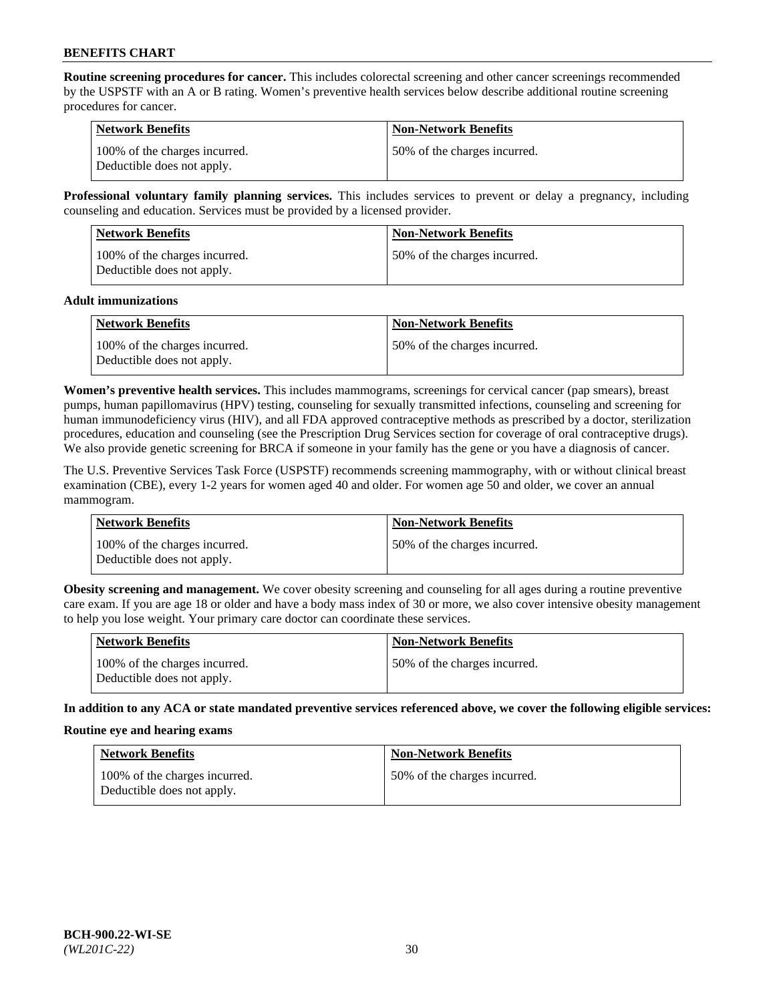**Routine screening procedures for cancer.** This includes colorectal screening and other cancer screenings recommended by the USPSTF with an A or B rating. Women's preventive health services below describe additional routine screening procedures for cancer.

| <b>Network Benefits</b>                                     | <b>Non-Network Benefits</b>   |
|-------------------------------------------------------------|-------------------------------|
| 100% of the charges incurred.<br>Deductible does not apply. | 150% of the charges incurred. |

**Professional voluntary family planning services.** This includes services to prevent or delay a pregnancy, including counseling and education. Services must be provided by a licensed provider.

| <b>Network Benefits</b>                                     | <b>Non-Network Benefits</b>  |
|-------------------------------------------------------------|------------------------------|
| 100% of the charges incurred.<br>Deductible does not apply. | 50% of the charges incurred. |

#### **Adult immunizations**

| Network Benefits                                            | <b>Non-Network Benefits</b>   |
|-------------------------------------------------------------|-------------------------------|
| 100% of the charges incurred.<br>Deductible does not apply. | 150% of the charges incurred. |

**Women's preventive health services.** This includes mammograms, screenings for cervical cancer (pap smears), breast pumps, human papillomavirus (HPV) testing, counseling for sexually transmitted infections, counseling and screening for human immunodeficiency virus (HIV), and all FDA approved contraceptive methods as prescribed by a doctor, sterilization procedures, education and counseling (see the Prescription Drug Services section for coverage of oral contraceptive drugs). We also provide genetic screening for BRCA if someone in your family has the gene or you have a diagnosis of cancer.

The U.S. Preventive Services Task Force (USPSTF) recommends screening mammography, with or without clinical breast examination (CBE), every 1-2 years for women aged 40 and older. For women age 50 and older, we cover an annual mammogram.

| <b>Network Benefits</b>                                     | <b>Non-Network Benefits</b>   |
|-------------------------------------------------------------|-------------------------------|
| 100% of the charges incurred.<br>Deductible does not apply. | 150% of the charges incurred. |

**Obesity screening and management.** We cover obesity screening and counseling for all ages during a routine preventive care exam. If you are age 18 or older and have a body mass index of 30 or more, we also cover intensive obesity management to help you lose weight. Your primary care doctor can coordinate these services.

| Network Benefits                                            | <b>Non-Network Benefits</b>  |
|-------------------------------------------------------------|------------------------------|
| 100% of the charges incurred.<br>Deductible does not apply. | 50% of the charges incurred. |

**In addition to any ACA or state mandated preventive services referenced above, we cover the following eligible services:**

#### **Routine eye and hearing exams**

| <b>Network Benefits</b>                                     | <b>Non-Network Benefits</b>  |
|-------------------------------------------------------------|------------------------------|
| 100% of the charges incurred.<br>Deductible does not apply. | 50% of the charges incurred. |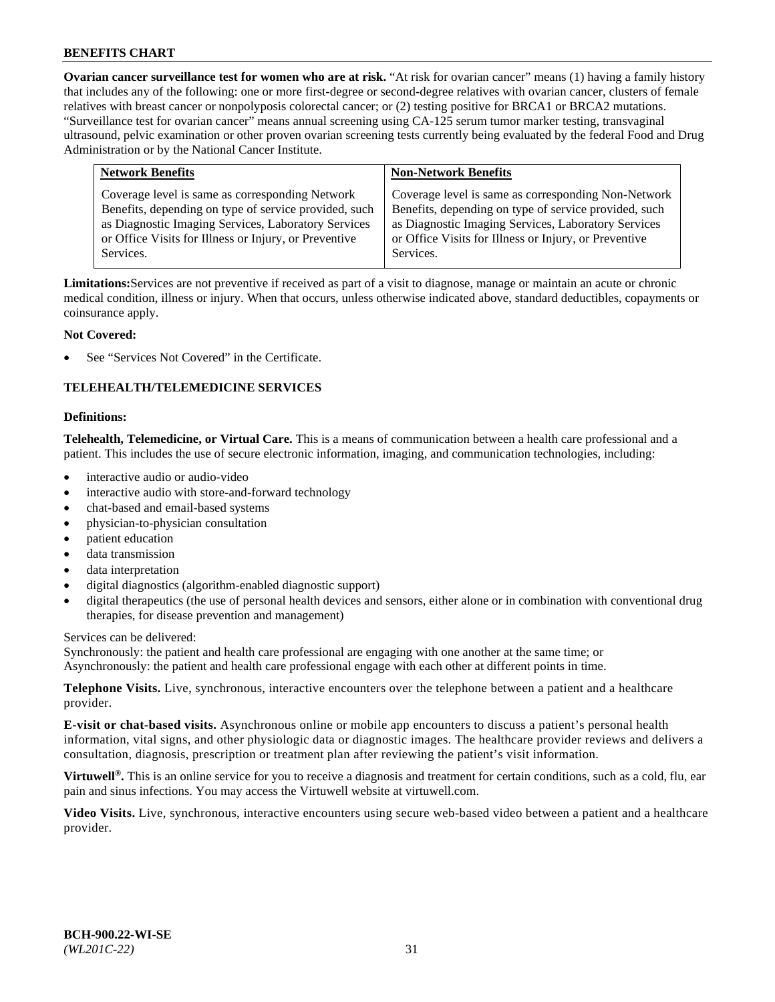**Ovarian cancer surveillance test for women who are at risk.** "At risk for ovarian cancer" means (1) having a family history that includes any of the following: one or more first-degree or second-degree relatives with ovarian cancer, clusters of female relatives with breast cancer or nonpolyposis colorectal cancer; or (2) testing positive for BRCA1 or BRCA2 mutations. "Surveillance test for ovarian cancer" means annual screening using CA-125 serum tumor marker testing, transvaginal ultrasound, pelvic examination or other proven ovarian screening tests currently being evaluated by the federal Food and Drug Administration or by the National Cancer Institute.

| <b>Network Benefits</b>                               | <b>Non-Network Benefits</b>                           |
|-------------------------------------------------------|-------------------------------------------------------|
| Coverage level is same as corresponding Network       | Coverage level is same as corresponding Non-Network   |
| Benefits, depending on type of service provided, such | Benefits, depending on type of service provided, such |
| as Diagnostic Imaging Services, Laboratory Services   | as Diagnostic Imaging Services, Laboratory Services   |
| or Office Visits for Illness or Injury, or Preventive | or Office Visits for Illness or Injury, or Preventive |
| Services.                                             | Services.                                             |

**Limitations:**Services are not preventive if received as part of a visit to diagnose, manage or maintain an acute or chronic medical condition, illness or injury. When that occurs, unless otherwise indicated above, standard deductibles, copayments or coinsurance apply.

## **Not Covered:**

See "Services Not Covered" in the Certificate.

## **TELEHEALTH/TELEMEDICINE SERVICES**

#### **Definitions:**

**Telehealth, Telemedicine, or Virtual Care.** This is a means of communication between a health care professional and a patient. This includes the use of secure electronic information, imaging, and communication technologies, including:

- interactive audio or audio-video
- interactive audio with store-and-forward technology
- chat-based and email-based systems
- physician-to-physician consultation
- patient education
- data transmission
- data interpretation
- digital diagnostics (algorithm-enabled diagnostic support)
- digital therapeutics (the use of personal health devices and sensors, either alone or in combination with conventional drug therapies, for disease prevention and management)

Services can be delivered:

Synchronously: the patient and health care professional are engaging with one another at the same time; or Asynchronously: the patient and health care professional engage with each other at different points in time.

**Telephone Visits.** Live, synchronous, interactive encounters over the telephone between a patient and a healthcare provider.

**E-visit or chat-based visits.** Asynchronous online or mobile app encounters to discuss a patient's personal health information, vital signs, and other physiologic data or diagnostic images. The healthcare provider reviews and delivers a consultation, diagnosis, prescription or treatment plan after reviewing the patient's visit information.

**Virtuwell<sup>®</sup>.** This is an online service for you to receive a diagnosis and treatment for certain conditions, such as a cold, flu, ear pain and sinus infections. You may access the Virtuwell website at [virtuwell.com.](https://www.virtuwell.com/)

**Video Visits.** Live, synchronous, interactive encounters using secure web-based video between a patient and a healthcare provider.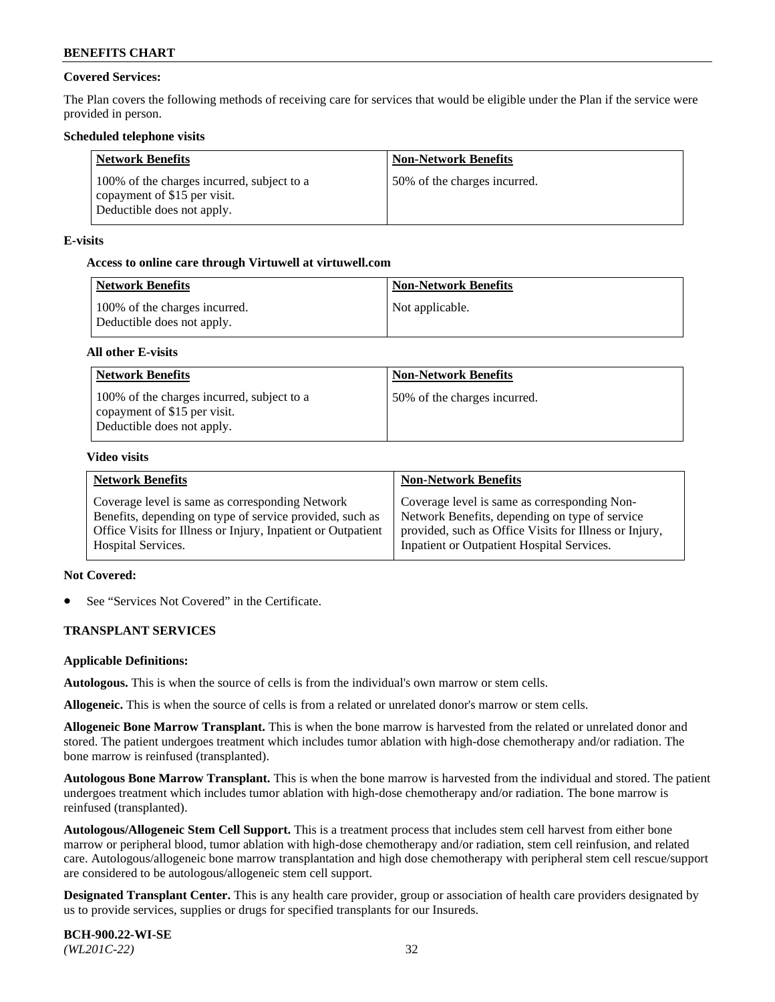## **Covered Services:**

The Plan covers the following methods of receiving care for services that would be eligible under the Plan if the service were provided in person.

## **Scheduled telephone visits**

| <b>Network Benefits</b>                                                                                  | <b>Non-Network Benefits</b>  |
|----------------------------------------------------------------------------------------------------------|------------------------------|
| 100% of the charges incurred, subject to a<br>copayment of \$15 per visit.<br>Deductible does not apply. | 50% of the charges incurred. |

## **E-visits**

## **Access to online care through Virtuwell at [virtuwell.com](https://www.virtuwell.com/)**

| Network Benefits                                            | <b>Non-Network Benefits</b> |
|-------------------------------------------------------------|-----------------------------|
| 100% of the charges incurred.<br>Deductible does not apply. | Not applicable.             |

## **All other E-visits**

| <b>Network Benefits</b>                                                                                  | <b>Non-Network Benefits</b>  |
|----------------------------------------------------------------------------------------------------------|------------------------------|
| 100% of the charges incurred, subject to a<br>copayment of \$15 per visit.<br>Deductible does not apply. | 50% of the charges incurred. |

#### **Video visits**

| <b>Network Benefits</b>                                      | <b>Non-Network Benefits</b>                            |
|--------------------------------------------------------------|--------------------------------------------------------|
| Coverage level is same as corresponding Network              | Coverage level is same as corresponding Non-           |
| Benefits, depending on type of service provided, such as     | Network Benefits, depending on type of service         |
| Office Visits for Illness or Injury, Inpatient or Outpatient | provided, such as Office Visits for Illness or Injury, |
| <b>Hospital Services.</b>                                    | Inpatient or Outpatient Hospital Services.             |

#### **Not Covered:**

See "Services Not Covered" in the Certificate.

## **TRANSPLANT SERVICES**

#### **Applicable Definitions:**

**Autologous.** This is when the source of cells is from the individual's own marrow or stem cells.

**Allogeneic.** This is when the source of cells is from a related or unrelated donor's marrow or stem cells.

**Allogeneic Bone Marrow Transplant.** This is when the bone marrow is harvested from the related or unrelated donor and stored. The patient undergoes treatment which includes tumor ablation with high-dose chemotherapy and/or radiation. The bone marrow is reinfused (transplanted).

**Autologous Bone Marrow Transplant.** This is when the bone marrow is harvested from the individual and stored. The patient undergoes treatment which includes tumor ablation with high-dose chemotherapy and/or radiation. The bone marrow is reinfused (transplanted).

**Autologous/Allogeneic Stem Cell Support.** This is a treatment process that includes stem cell harvest from either bone marrow or peripheral blood, tumor ablation with high-dose chemotherapy and/or radiation, stem cell reinfusion, and related care. Autologous/allogeneic bone marrow transplantation and high dose chemotherapy with peripheral stem cell rescue/support are considered to be autologous/allogeneic stem cell support.

**Designated Transplant Center.** This is any health care provider, group or association of health care providers designated by us to provide services, supplies or drugs for specified transplants for our Insureds.

**BCH-900.22-WI-SE**  *(WL201C-22)* 32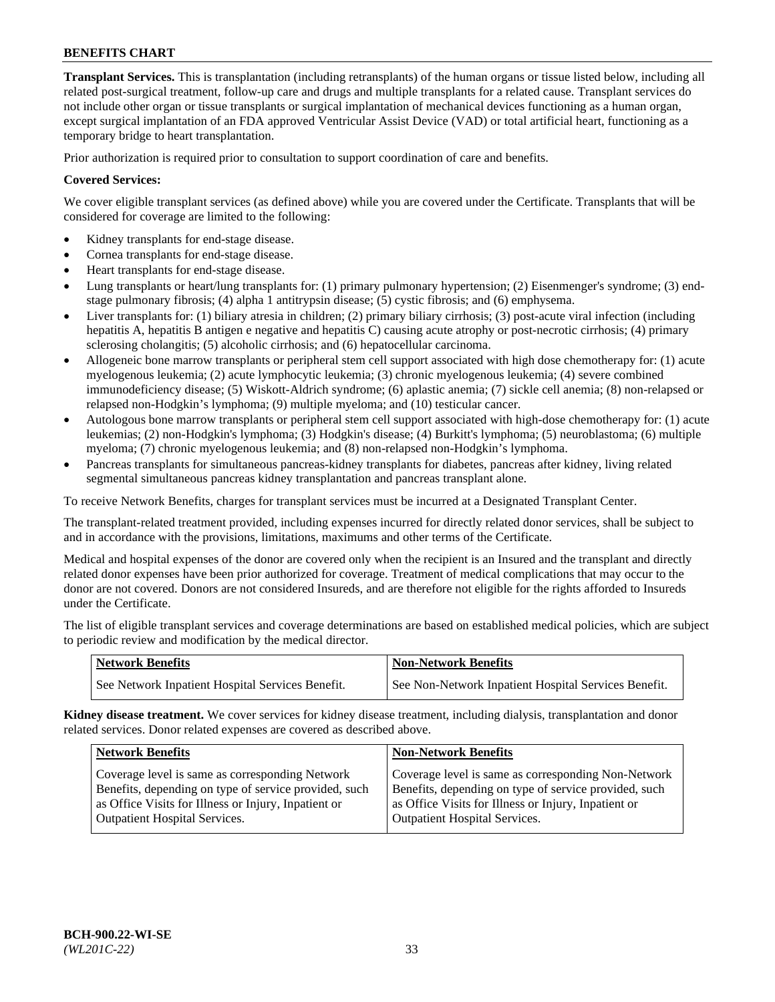**Transplant Services.** This is transplantation (including retransplants) of the human organs or tissue listed below, including all related post-surgical treatment, follow-up care and drugs and multiple transplants for a related cause. Transplant services do not include other organ or tissue transplants or surgical implantation of mechanical devices functioning as a human organ, except surgical implantation of an FDA approved Ventricular Assist Device (VAD) or total artificial heart, functioning as a temporary bridge to heart transplantation.

Prior authorization is required prior to consultation to support coordination of care and benefits.

## **Covered Services:**

We cover eligible transplant services (as defined above) while you are covered under the Certificate. Transplants that will be considered for coverage are limited to the following:

- Kidney transplants for end-stage disease.
- Cornea transplants for end-stage disease.
- Heart transplants for end-stage disease.
- Lung transplants or heart/lung transplants for: (1) primary pulmonary hypertension; (2) Eisenmenger's syndrome; (3) endstage pulmonary fibrosis; (4) alpha 1 antitrypsin disease; (5) cystic fibrosis; and (6) emphysema.
- Liver transplants for: (1) biliary atresia in children; (2) primary biliary cirrhosis; (3) post-acute viral infection (including hepatitis A, hepatitis B antigen e negative and hepatitis C) causing acute atrophy or post-necrotic cirrhosis; (4) primary sclerosing cholangitis; (5) alcoholic cirrhosis; and (6) hepatocellular carcinoma.
- Allogeneic bone marrow transplants or peripheral stem cell support associated with high dose chemotherapy for: (1) acute myelogenous leukemia; (2) acute lymphocytic leukemia; (3) chronic myelogenous leukemia; (4) severe combined immunodeficiency disease; (5) Wiskott-Aldrich syndrome; (6) aplastic anemia; (7) sickle cell anemia; (8) non-relapsed or relapsed non-Hodgkin's lymphoma; (9) multiple myeloma; and (10) testicular cancer.
- Autologous bone marrow transplants or peripheral stem cell support associated with high-dose chemotherapy for: (1) acute leukemias; (2) non-Hodgkin's lymphoma; (3) Hodgkin's disease; (4) Burkitt's lymphoma; (5) neuroblastoma; (6) multiple myeloma; (7) chronic myelogenous leukemia; and (8) non-relapsed non-Hodgkin's lymphoma.
- Pancreas transplants for simultaneous pancreas-kidney transplants for diabetes, pancreas after kidney, living related segmental simultaneous pancreas kidney transplantation and pancreas transplant alone.

To receive Network Benefits, charges for transplant services must be incurred at a Designated Transplant Center.

The transplant-related treatment provided, including expenses incurred for directly related donor services, shall be subject to and in accordance with the provisions, limitations, maximums and other terms of the Certificate.

Medical and hospital expenses of the donor are covered only when the recipient is an Insured and the transplant and directly related donor expenses have been prior authorized for coverage. Treatment of medical complications that may occur to the donor are not covered. Donors are not considered Insureds, and are therefore not eligible for the rights afforded to Insureds under the Certificate.

The list of eligible transplant services and coverage determinations are based on established medical policies, which are subject to periodic review and modification by the medical director.

| <b>Network Benefits</b>                          | <b>Non-Network Benefits</b>                          |
|--------------------------------------------------|------------------------------------------------------|
| See Network Inpatient Hospital Services Benefit. | See Non-Network Inpatient Hospital Services Benefit. |

**Kidney disease treatment.** We cover services for kidney disease treatment, including dialysis, transplantation and donor related services. Donor related expenses are covered as described above.

| <b>Network Benefits</b>                               | Non-Network Benefits                                  |
|-------------------------------------------------------|-------------------------------------------------------|
| Coverage level is same as corresponding Network       | Coverage level is same as corresponding Non-Network   |
| Benefits, depending on type of service provided, such | Benefits, depending on type of service provided, such |
| as Office Visits for Illness or Injury, Inpatient or  | as Office Visits for Illness or Injury, Inpatient or  |
| <b>Outpatient Hospital Services.</b>                  | Outpatient Hospital Services.                         |